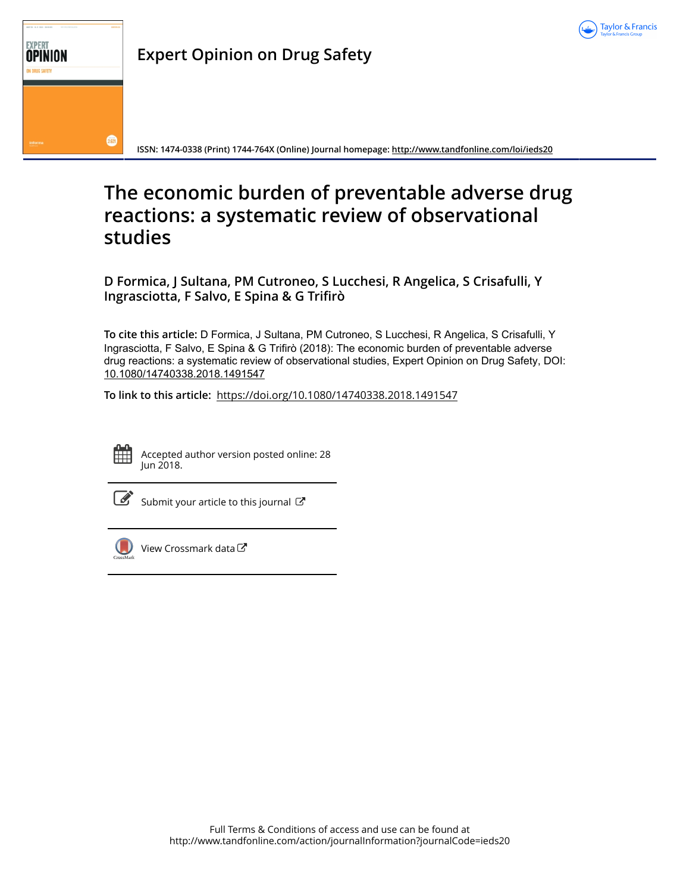



**ISSN: 1474-0338 (Print) 1744-764X (Online) Journal homepage: <http://www.tandfonline.com/loi/ieds20>**

# **The economic burden of preventable adverse drug reactions: a systematic review of observational studies**

**D Formica, J Sultana, PM Cutroneo, S Lucchesi, R Angelica, S Crisafulli, Y Ingrasciotta, F Salvo, E Spina & G Trifirò**

**To cite this article:** D Formica, J Sultana, PM Cutroneo, S Lucchesi, R Angelica, S Crisafulli, Y Ingrasciotta, F Salvo, E Spina & G Trifirò (2018): The economic burden of preventable adverse drug reactions: a systematic review of observational studies, Expert Opinion on Drug Safety, DOI: [10.1080/14740338.2018.1491547](http://www.tandfonline.com/action/showCitFormats?doi=10.1080/14740338.2018.1491547)

**To link to this article:** <https://doi.org/10.1080/14740338.2018.1491547>



Accepted author version posted online: 28 Jun 2018.



 $\overline{\mathscr{L}}$  [Submit your article to this journal](http://www.tandfonline.com/action/authorSubmission?journalCode=ieds20&show=instructions)  $\mathbb{Z}$ 



[View Crossmark data](http://crossmark.crossref.org/dialog/?doi=10.1080/14740338.2018.1491547&domain=pdf&date_stamp=2018-06-28) C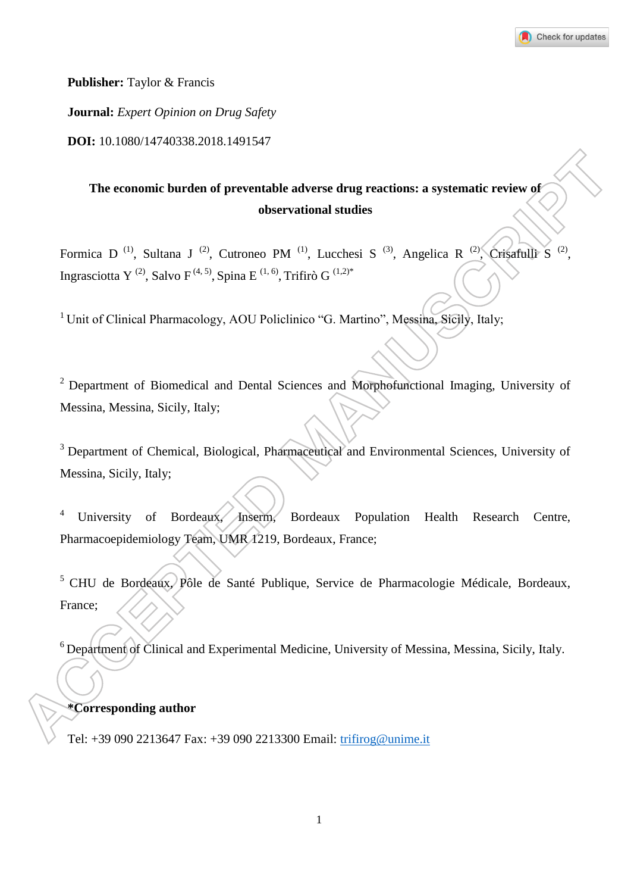

**Publisher:** Taylor & Francis

**Journal:** *Expert Opinion on Drug Safety* 

**DOI:** 10.1080/14740338.2018.1491547

# **The economic burden of preventable adverse drug reactions: a systematic review of observational studies**

Formica D<sup>(1)</sup>, Sultana J<sup>(2)</sup>, Cutroneo PM<sup>(1)</sup>, Lucchesi S<sup>(3)</sup>, Angelica R<sup>(2)</sup>, Crisafulli S  $(2)$ Ingrasciotta Y<sup>(2)</sup>, Salvo F<sup>(4, 5)</sup>, Spina E<sup>(1, 6)</sup>, Trifirò G<sup>(1,2)\*</sup>

<sup>1</sup> Unit of Clinical Pharmacology, AOU Policlinico "G. Martino", Messina, Sicily, Italy;

<sup>2</sup> Department of Biomedical and Dental Sciences and Morphofunctional Imaging, University of Messina, Messina, Sicily, Italy;

<sup>3</sup> Department of Chemical, Biological, Pharmaceutical and Environmental Sciences, University of Messina, Sicily, Italy;

<sup>4</sup> University of Bordeaux, Inserm, Bordeaux Population Health Research Centre, Pharmacoepidemiology Team, UMR 1219, Bordeaux, France;

<sup>5</sup>CHU de Bordeaux, Pôle de Santé Publique, Service de Pharmacologie Médicale, Bordeaux, France;

<sup>6</sup> Department of Clinical and Experimental Medicine, University of Messina, Messina, Sicily, Italy.

# **\*Corresponding author**

Tel: +39 090 2213647 Fax: +39 090 2213300 Email: [trifirog@unime.it](mailto:trifirog@unime.it)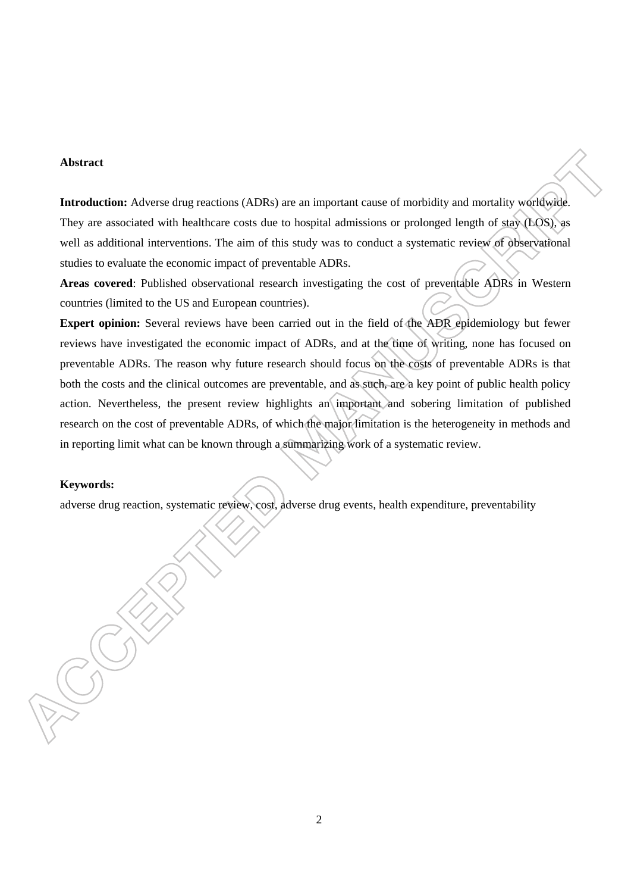#### **Abstract**

**Introduction:** Adverse drug reactions (ADRs) are an important cause of morbidity and mortality worldwide. They are associated with healthcare costs due to hospital admissions or prolonged length of stay (LOS), as well as additional interventions. The aim of this study was to conduct a systematic review of observational studies to evaluate the economic impact of preventable ADRs.

**Areas covered**: Published observational research investigating the cost of preventable ADRs in Western countries (limited to the US and European countries).

**Expert opinion:** Several reviews have been carried out in the field of the ADR epidemiology but fewer reviews have investigated the economic impact of ADRs, and at the time of writing, none has focused on preventable ADRs. The reason why future research should focus on the costs of preventable ADRs is that both the costs and the clinical outcomes are preventable, and as such, are a key point of public health policy action. Nevertheless, the present review highlights an important and sobering limitation of published research on the cost of preventable ADRs, of which the major limitation is the heterogeneity in methods and in reporting limit what can be known through a summarizing work of a systematic review.

#### **Keywords:**

adverse drug reaction, systematic review, cost, adverse drug events, health expenditure, preventability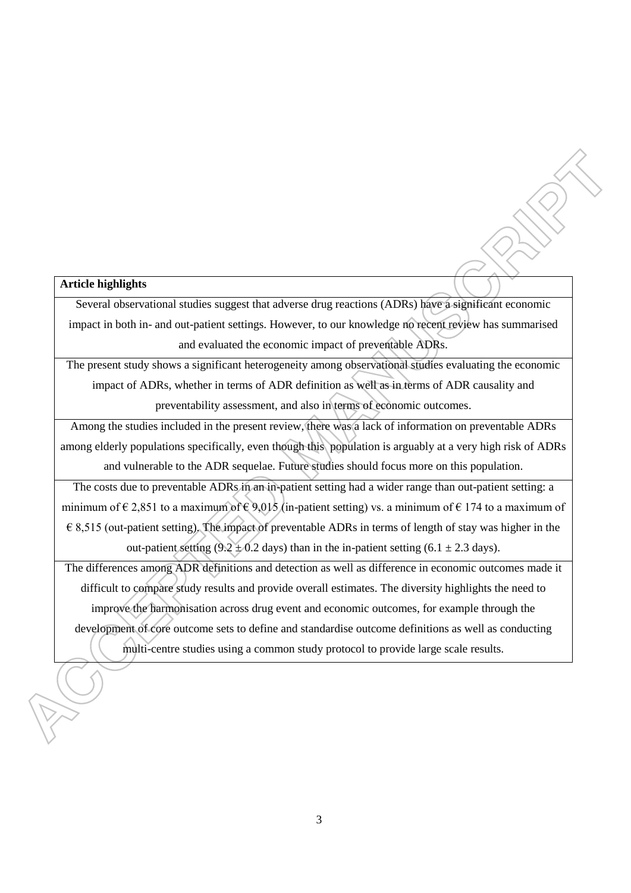# **Article highlights**

Several observational studies suggest that adverse drug reactions (ADRs) have a significant economic impact in both in- and out-patient settings. However, to our knowledge no recent review has summarised and evaluated the economic impact of preventable ADRs.

The present study shows a significant heterogeneity among observational studies evaluating the economic impact of ADRs, whether in terms of ADR definition as well as in terms of ADR causality and preventability assessment, and also in terms of economic outcomes.

Among the studies included in the present review, there was a lack of information on preventable ADRs among elderly populations specifically, even though this population is arguably at a very high risk of ADRs and vulnerable to the ADR sequelae. Future studies should focus more on this population.

The costs due to preventable ADRs in an in-patient setting had a wider range than out-patient setting: a minimum of  $\epsilon$  2,851 to a maximum of  $\epsilon$  9,015 (in-patient setting) vs. a minimum of  $\epsilon$  174 to a maximum of  $\epsilon$  8,515 (out-patient setting). The impact of preventable ADRs in terms of length of stay was higher in the out-patient setting (9.2  $\pm$  0.2 days) than in the in-patient setting (6.1  $\pm$  2.3 days).

The differences among ADR definitions and detection as well as difference in economic outcomes made it difficult to compare study results and provide overall estimates. The diversity highlights the need to improve the harmonisation across drug event and economic outcomes, for example through the development of core outcome sets to define and standardise outcome definitions as well as conducting multi-centre studies using a common study protocol to provide large scale results.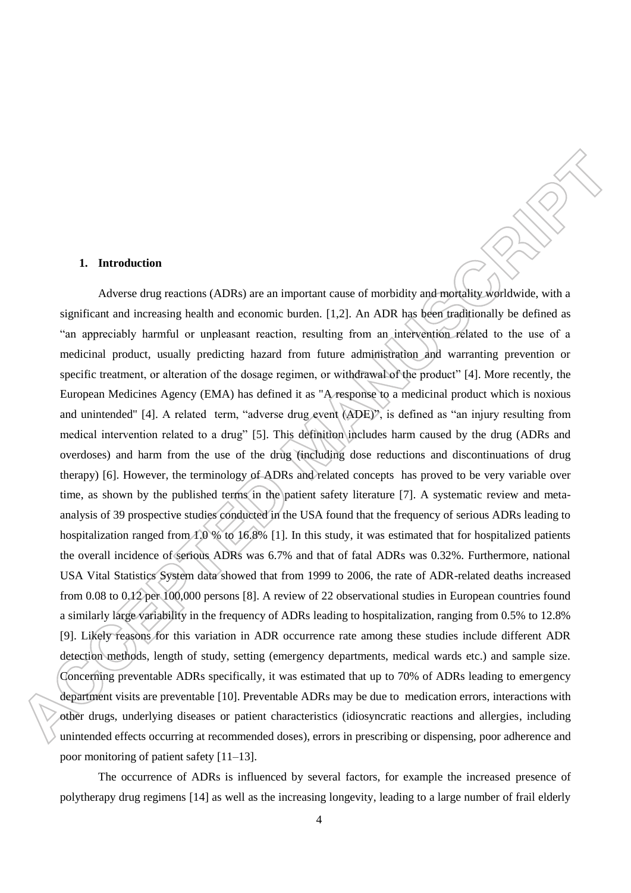# **1. Introduction**

 Adverse drug reactions (ADRs) are an important cause of morbidity and mortality worldwide, with a significant and increasing health and economic burden. [1,2]. An ADR has been traditionally be defined as "an appreciably harmful or unpleasant reaction, resulting from an intervention related to the use of a medicinal product, usually predicting hazard from future administration and warranting prevention or specific treatment, or alteration of the dosage regimen, or withdrawal of the product" [4]. More recently, the European Medicines Agency (EMA) has defined it as "A response to a medicinal product which is noxious and unintended" [4]. A related term, "adverse drug event (ADE)", is defined as "an injury resulting from medical intervention related to a drug" [5]. This definition includes harm caused by the drug (ADRs and overdoses) and harm from the use of the drug (including dose reductions and discontinuations of drug therapy) [6]. However, the terminology of ADRs and related concepts has proved to be very variable over time, as shown by the published terms in the patient safety literature [7]. A systematic review and metaanalysis of 39 prospective studies conducted in the USA found that the frequency of serious ADRs leading to hospitalization ranged from 1.0 % to 16.8% [1]. In this study, it was estimated that for hospitalized patients the overall incidence of serious ADRs was 6.7% and that of fatal ADRs was 0.32%. Furthermore, national USA Vital Statistics System data showed that from 1999 to 2006, the rate of ADR-related deaths increased from 0.08 to 0.12 per 100,000 persons [8]. A review of 22 observational studies in European countries found a similarly large variability in the frequency of ADRs leading to hospitalization, ranging from 0.5% to 12.8% [9]. Likely reasons for this variation in ADR occurrence rate among these studies include different ADR detection methods, length of study, setting (emergency departments, medical wards etc.) and sample size. Concerning preventable ADRs specifically, it was estimated that up to 70% of ADRs leading to emergency department visits are preventable [10]. Preventable ADRs may be due to medication errors, interactions with other drugs, underlying diseases or patient characteristics (idiosyncratic reactions and allergies, including unintended effects occurring at recommended doses), errors in prescribing or dispensing, poor adherence and poor monitoring of patient safety [11–13].

 The occurrence of ADRs is influenced by several factors, for example the increased presence of polytherapy drug regimens [14] as well as the increasing longevity, leading to a large number of frail elderly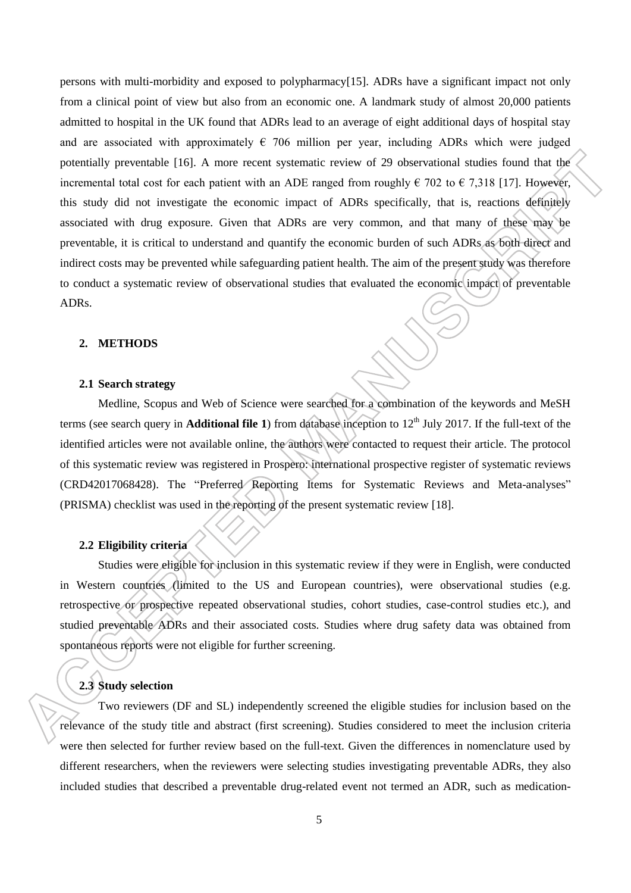persons with multi-morbidity and exposed to polypharmacy[15]. ADRs have a significant impact not only from a clinical point of view but also from an economic one. A landmark study of almost 20,000 patients admitted to hospital in the UK found that ADRs lead to an average of eight additional days of hospital stay and are associated with approximately  $\epsilon$  706 million per year, including ADRs which were judged potentially preventable [16]. A more recent systematic review of 29 observational studies found that the incremental total cost for each patient with an ADE ranged from roughly  $\epsilon$  702 to  $\epsilon$  7,318 [17]. However, this study did not investigate the economic impact of ADRs specifically, that is, reactions definitely associated with drug exposure. Given that ADRs are very common, and that many of these may be preventable, it is critical to understand and quantify the economic burden of such ADRs as both direct and indirect costs may be prevented while safeguarding patient health. The aim of the present study was therefore to conduct a systematic review of observational studies that evaluated the economic impact of preventable ADRs.

# **2. METHODS**

#### **2.1 Search strategy**

 Medline, Scopus and Web of Science were searched for a combination of the keywords and MeSH terms (see search query in **Additional file 1**) from database inception to 12<sup>th</sup> July 2017. If the full-text of the identified articles were not available online, the authors were contacted to request their article. The protocol of this systematic review was registered in Prospero: international prospective register of systematic reviews (CRD42017068428). The "Preferred Reporting Items for Systematic Reviews and Meta-analyses" (PRISMA) checklist was used in the reporting of the present systematic review [18].

#### **2.2 Eligibility criteria**

 Studies were eligible for inclusion in this systematic review if they were in English, were conducted in Western countries (limited to the US and European countries), were observational studies (e.g. retrospective or prospective repeated observational studies, cohort studies, case-control studies etc.), and studied preventable ADRs and their associated costs. Studies where drug safety data was obtained from spontaneous reports were not eligible for further screening.

#### **2.3 Study selection**

 Two reviewers (DF and SL) independently screened the eligible studies for inclusion based on the relevance of the study title and abstract (first screening). Studies considered to meet the inclusion criteria were then selected for further review based on the full-text. Given the differences in nomenclature used by different researchers, when the reviewers were selecting studies investigating preventable ADRs, they also included studies that described a preventable drug-related event not termed an ADR, such as medication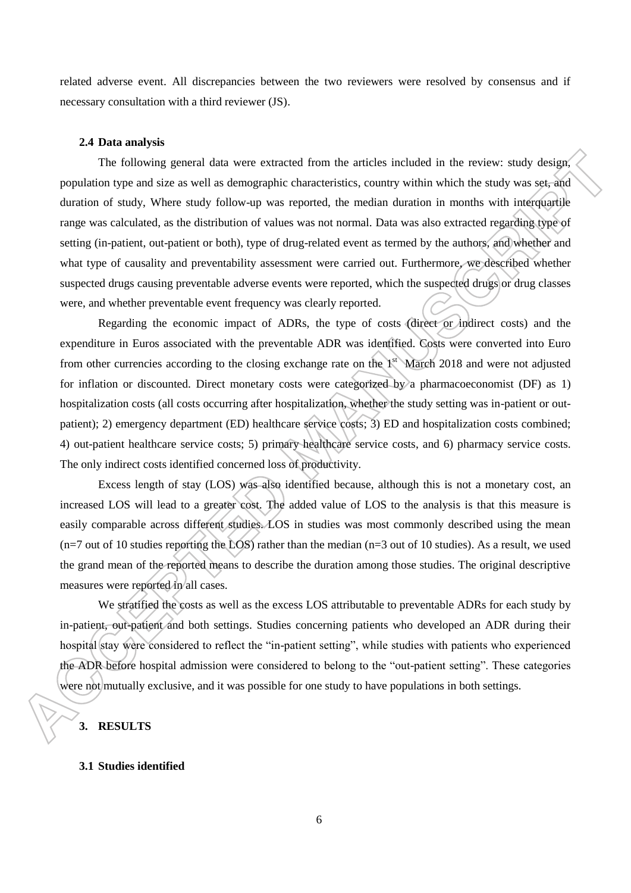related adverse event. All discrepancies between the two reviewers were resolved by consensus and if necessary consultation with a third reviewer (JS).

# **2.4 Data analysis**

 The following general data were extracted from the articles included in the review: study design, population type and size as well as demographic characteristics, country within which the study was set, and duration of study, Where study follow-up was reported, the median duration in months with interquartile range was calculated, as the distribution of values was not normal. Data was also extracted regarding type of setting (in-patient, out-patient or both), type of drug-related event as termed by the authors, and whether and what type of causality and preventability assessment were carried out. Furthermore, we described whether suspected drugs causing preventable adverse events were reported, which the suspected drugs or drug classes were, and whether preventable event frequency was clearly reported.

 Regarding the economic impact of ADRs, the type of costs (direct or indirect costs) and the expenditure in Euros associated with the preventable ADR was identified. Costs were converted into Euro from other currencies according to the closing exchange rate on the  $1<sup>st</sup>$  March 2018 and were not adjusted for inflation or discounted. Direct monetary costs were categorized by a pharmacoeconomist (DF) as 1) hospitalization costs (all costs occurring after hospitalization, whether the study setting was in-patient or outpatient); 2) emergency department (ED) healthcare service costs; 3) ED and hospitalization costs combined; 4) out-patient healthcare service costs; 5) primary healthcare service costs, and 6) pharmacy service costs. The only indirect costs identified concerned loss of productivity.

 Excess length of stay (LOS) was also identified because, although this is not a monetary cost, an increased LOS will lead to a greater cost. The added value of LOS to the analysis is that this measure is easily comparable across different studies. LOS in studies was most commonly described using the mean (n=7 out of 10 studies reporting the LOS) rather than the median (n=3 out of 10 studies). As a result, we used the grand mean of the reported means to describe the duration among those studies. The original descriptive measures were reported in all cases.

We stratified the costs as well as the excess LOS attributable to preventable ADRs for each study by in-patient, out-patient and both settings. Studies concerning patients who developed an ADR during their hospital stay were considered to reflect the "in-patient setting", while studies with patients who experienced the ADR before hospital admission were considered to belong to the "out-patient setting". These categories were not mutually exclusive, and it was possible for one study to have populations in both settings.

# **3. RESULTS**

#### **3.1 Studies identified**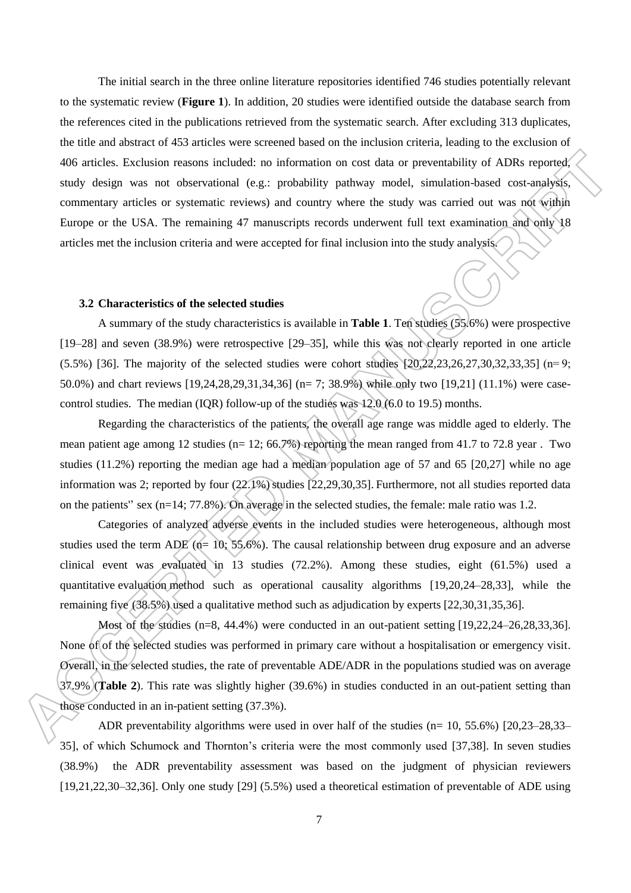The initial search in the three online literature repositories identified 746 studies potentially relevant to the systematic review (**Figure 1**). In addition, 20 studies were identified outside the database search from the references cited in the publications retrieved from the systematic search. After excluding 313 duplicates, the title and abstract of 453 articles were screened based on the inclusion criteria, leading to the exclusion of 406 articles. Exclusion reasons included: no information on cost data or preventability of ADRs reported, study design was not observational (e.g.: probability pathway model, simulation-based cost-analysis, commentary articles or systematic reviews) and country where the study was carried out was not within Europe or the USA. The remaining 47 manuscripts records underwent full text examination and only 18 articles met the inclusion criteria and were accepted for final inclusion into the study analysis.

#### **3.2 Characteristics of the selected studies**

 A summary of the study characteristics is available in **Table 1**. Ten studies (55.6%) were prospective [19–28] and seven (38.9%) were retrospective [29–35], while this was not clearly reported in one article (5.5%) [36]. The majority of the selected studies were cohort studies  $[20,22,23,26,27,30,32,33,35]$  (n=9; 50.0%) and chart reviews [19,24,28,29,31,34,36] (n= 7; 38.9%) while only two [19,21] (11.1%) were casecontrol studies. The median (IQR) follow-up of the studies was 12.0 (6.0 to 19.5) months.

 Regarding the characteristics of the patients, the overall age range was middle aged to elderly. The mean patient age among 12 studies (n= 12; 66.7%) reporting the mean ranged from 41.7 to 72.8 year . Two studies (11.2%) reporting the median age had a median population age of 57 and 65 [20,27] while no age information was 2; reported by four  $(22.1\%)$  studies  $[22.29,30,35]$ . Furthermore, not all studies reported data on the patients'' sex (n=14; 77.8%). On average in the selected studies, the female: male ratio was 1.2.

 Categories of analyzed adverse events in the included studies were heterogeneous, although most studies used the term ADE ( $n= 10$ ; 55.6%). The causal relationship between drug exposure and an adverse clinical event was evaluated in 13 studies (72.2%). Among these studies, eight (61.5%) used a quantitative evaluation method such as operational causality algorithms [19,20,24–28,33], while the remaining five (38.5%) used a qualitative method such as adjudication by experts [22,30,31,35,36].

 Most of the studies (n=8, 44.4%) were conducted in an out-patient setting [19,22,24–26,28,33,36]. None of of the selected studies was performed in primary care without a hospitalisation or emergency visit. Overall, in the selected studies, the rate of preventable ADE/ADR in the populations studied was on average 37.9% (**Table 2**). This rate was slightly higher (39.6%) in studies conducted in an out-patient setting than those conducted in an in-patient setting (37.3%).

ADR preventability algorithms were used in over half of the studies ( $n= 10$ , 55.6%) [20,23–28,33– 35], of which Schumock and Thornton's criteria were the most commonly used [37,38]. In seven studies (38.9%) the ADR preventability assessment was based on the judgment of physician reviewers [19,21,22,30–32,36]. Only one study [29] (5.5%) used a theoretical estimation of preventable of ADE using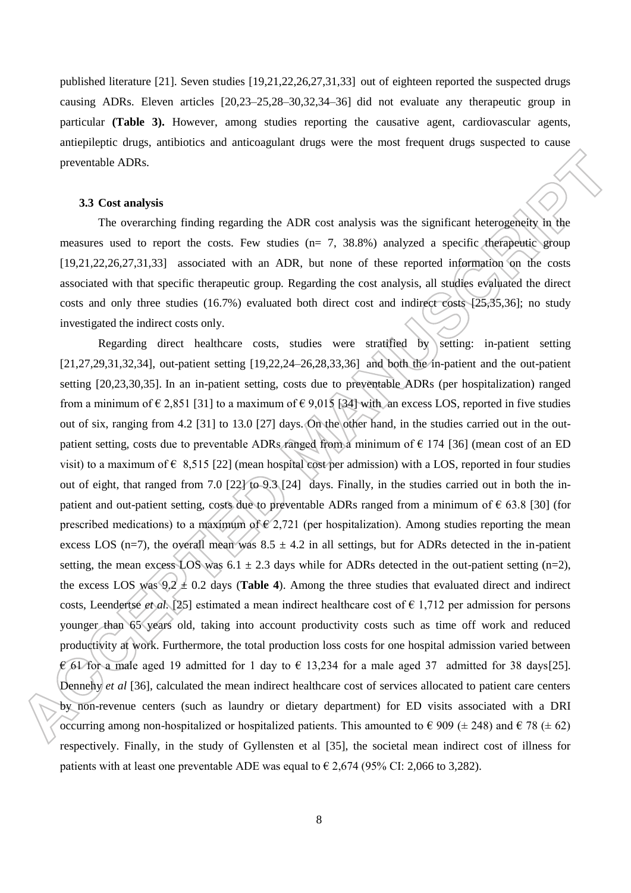published literature [21]. Seven studies [19,21,22,26,27,31,33] out of eighteen reported the suspected drugs causing ADRs. Eleven articles [20,23–25,28–30,32,34–36] did not evaluate any therapeutic group in particular **(Table 3).** However, among studies reporting the causative agent, cardiovascular agents, antiepileptic drugs, antibiotics and anticoagulant drugs were the most frequent drugs suspected to cause preventable ADRs.

#### **3.3 Cost analysis**

 The overarching finding regarding the ADR cost analysis was the significant heterogeneity in the measures used to report the costs. Few studies (n= 7, 38.8%) analyzed a specific therapeutic group [19,21,22,26,27,31,33] associated with an ADR, but none of these reported information on the costs associated with that specific therapeutic group. Regarding the cost analysis, all studies evaluated the direct costs and only three studies (16.7%) evaluated both direct cost and indirect costs [25,35,36]; no study investigated the indirect costs only.

 Regarding direct healthcare costs, studies were stratified by setting: in-patient setting [21,27,29,31,32,34], out-patient setting [19,22,24–26,28,33,36] and both the in-patient and the out-patient setting [20,23,30,35]. In an in-patient setting, costs due to preventable ADRs (per hospitalization) ranged from a minimum of  $\epsilon$  2,851 [31] to a maximum of  $\epsilon$  9,015 [34] with an excess LOS, reported in five studies out of six, ranging from 4.2 [31] to 13.0 [27] days. On the other hand, in the studies carried out in the outpatient setting, costs due to preventable ADRs ranged from a minimum of  $\epsilon$  174 [36] (mean cost of an ED visit) to a maximum of  $\epsilon$  8,515 [22] (mean hospital cost per admission) with a LOS, reported in four studies out of eight, that ranged from 7.0 [22] to 9.3 [24] days. Finally, in the studies carried out in both the inpatient and out-patient setting, costs due to preventable ADRs ranged from a minimum of  $\epsilon$  63.8 [30] (for prescribed medications) to a maximum of  $\epsilon$  2,721 (per hospitalization). Among studies reporting the mean excess LOS (n=7), the overall mean was  $8.5 \pm 4.2$  in all settings, but for ADRs detected in the in-patient setting, the mean excess LOS was  $6.1 \pm 2.3$  days while for ADRs detected in the out-patient setting (n=2), the excess LOS was  $9.2 \pm 0.2$  days (**Table 4**). Among the three studies that evaluated direct and indirect costs, Leendertse *et al.* [25] estimated a mean indirect healthcare cost of  $\epsilon$  1,712 per admission for persons younger than 65 years old, taking into account productivity costs such as time off work and reduced productivity at work. Furthermore, the total production loss costs for one hospital admission varied between € 61 for a male aged 19 admitted for 1 day to  $\epsilon$  13,234 for a male aged 37 admitted for 38 days[25]. Dennehy *et al* [36], calculated the mean indirect healthcare cost of services allocated to patient care centers by non-revenue centers (such as laundry or dietary department) for ED visits associated with a DRI occurring among non-hospitalized or hospitalized patients. This amounted to  $\epsilon$  909 ( $\pm$  248) and  $\epsilon$  78 ( $\pm$  62) respectively. Finally, in the study of Gyllensten et al [35], the societal mean indirect cost of illness for patients with at least one preventable ADE was equal to  $\epsilon$  2,674 (95% CI: 2,066 to 3,282).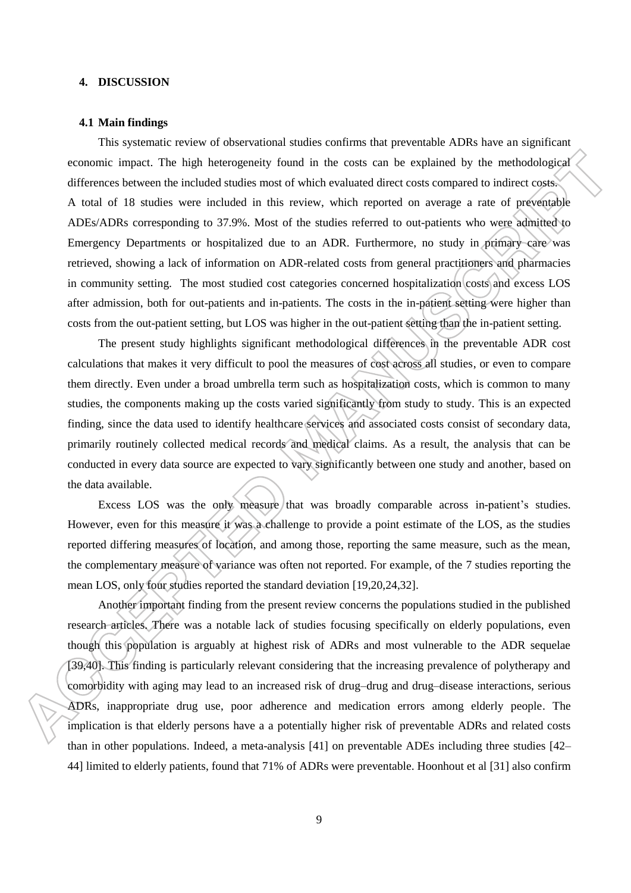#### **4. DISCUSSION**

# **4.1 Main findings**

 This systematic review of observational studies confirms that preventable ADRs have an significant economic impact. The high heterogeneity found in the costs can be explained by the methodological differences between the included studies most of which evaluated direct costs compared to indirect costs. A total of 18 studies were included in this review, which reported on average a rate of preventable ADEs/ADRs corresponding to 37.9%. Most of the studies referred to out-patients who were admitted to Emergency Departments or hospitalized due to an ADR. Furthermore, no study in primary care was retrieved, showing a lack of information on ADR-related costs from general practitioners and pharmacies in community setting. The most studied cost categories concerned hospitalization costs and excess LOS after admission, both for out-patients and in-patients. The costs in the in-patient setting were higher than costs from the out-patient setting, but LOS was higher in the out-patient setting than the in-patient setting.

 The present study highlights significant methodological differences in the preventable ADR cost calculations that makes it very difficult to pool the measures of cost across all studies, or even to compare them directly. Even under a broad umbrella term such as hospitalization costs, which is common to many studies, the components making up the costs varied significantly from study to study. This is an expected finding, since the data used to identify healthcare services and associated costs consist of secondary data, primarily routinely collected medical records and medical claims. As a result, the analysis that can be conducted in every data source are expected to vary significantly between one study and another, based on the data available.

Excess LOS was the only measure that was broadly comparable across in-patient's studies. However, even for this measure it was a challenge to provide a point estimate of the LOS, as the studies reported differing measures of location, and among those, reporting the same measure, such as the mean, the complementary measure of variance was often not reported. For example, of the 7 studies reporting the mean LOS, only four studies reported the standard deviation [19,20,24,32].

 Another important finding from the present review concerns the populations studied in the published research articles. There was a notable lack of studies focusing specifically on elderly populations, even though this population is arguably at highest risk of ADRs and most vulnerable to the ADR sequelae [39,40]. This finding is particularly relevant considering that the increasing prevalence of polytherapy and comorbidity with aging may lead to an increased risk of drug–drug and drug–disease interactions, serious ADRs, inappropriate drug use, poor adherence and medication errors among elderly people. The implication is that elderly persons have a a potentially higher risk of preventable ADRs and related costs than in other populations. Indeed, a meta-analysis [41] on preventable ADEs including three studies [42– 44] limited to elderly patients, found that 71% of ADRs were preventable. Hoonhout et al [31] also confirm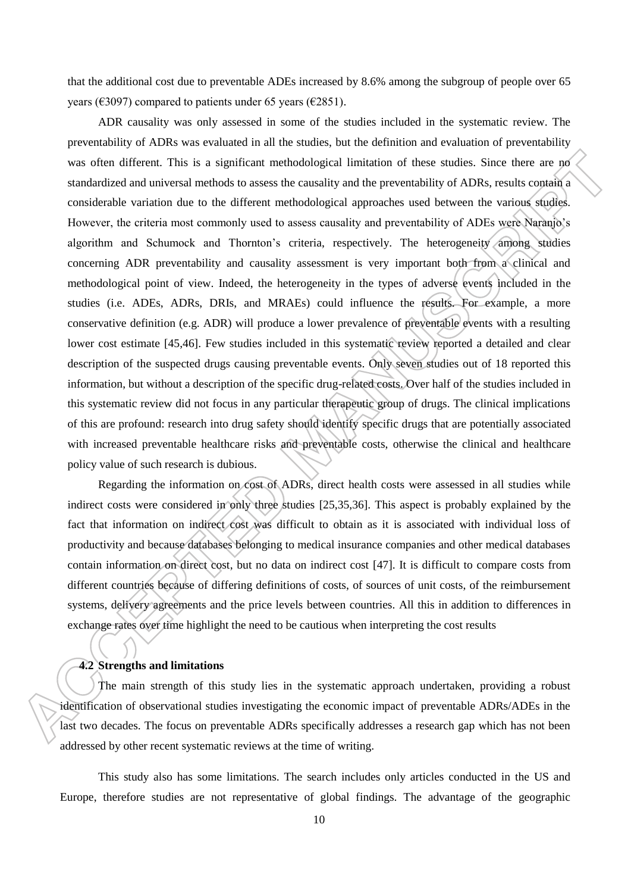that the additional cost due to preventable ADEs increased by 8.6% among the subgroup of people over 65 years ( $\epsilon$ 3097) compared to patients under 65 years ( $\epsilon$ 2851).

 ADR causality was only assessed in some of the studies included in the systematic review. The preventability of ADRs was evaluated in all the studies, but the definition and evaluation of preventability was often different. This is a significant methodological limitation of these studies. Since there are no standardized and universal methods to assess the causality and the preventability of ADRs, results contain a considerable variation due to the different methodological approaches used between the various studies. However, the criteria most commonly used to assess causality and preventability of ADEs were Naranjo's algorithm and Schumock and Thornton's criteria, respectively. The heterogeneity among studies concerning ADR preventability and causality assessment is very important both from a clinical and methodological point of view. Indeed, the heterogeneity in the types of adverse events included in the studies (i.e. ADEs, ADRs, DRIs, and MRAEs) could influence the results. For example, a more conservative definition (e.g. ADR) will produce a lower prevalence of preventable events with a resulting lower cost estimate [45,46]. Few studies included in this systematic review reported a detailed and clear description of the suspected drugs causing preventable events. Only seven studies out of 18 reported this information, but without a description of the specific drug-related costs. Over half of the studies included in this systematic review did not focus in any particular therapeutic group of drugs. The clinical implications of this are profound: research into drug safety should identify specific drugs that are potentially associated with increased preventable healthcare risks and preventable costs, otherwise the clinical and healthcare policy value of such research is dubious.

 Regarding the information on cost of ADRs, direct health costs were assessed in all studies while indirect costs were considered in only three studies [25,35,36]. This aspect is probably explained by the fact that information on indirect cost was difficult to obtain as it is associated with individual loss of productivity and because databases belonging to medical insurance companies and other medical databases contain information on direct cost, but no data on indirect cost [47]. It is difficult to compare costs from different countries because of differing definitions of costs, of sources of unit costs, of the reimbursement systems, delivery agreements and the price levels between countries. All this in addition to differences in exchange rates over time highlight the need to be cautious when interpreting the cost results

# **4.2 Strengths and limitations**

 The main strength of this study lies in the systematic approach undertaken, providing a robust identification of observational studies investigating the economic impact of preventable ADRs/ADEs in the last two decades. The focus on preventable ADRs specifically addresses a research gap which has not been addressed by other recent systematic reviews at the time of writing.

 This study also has some limitations. The search includes only articles conducted in the US and Europe, therefore studies are not representative of global findings. The advantage of the geographic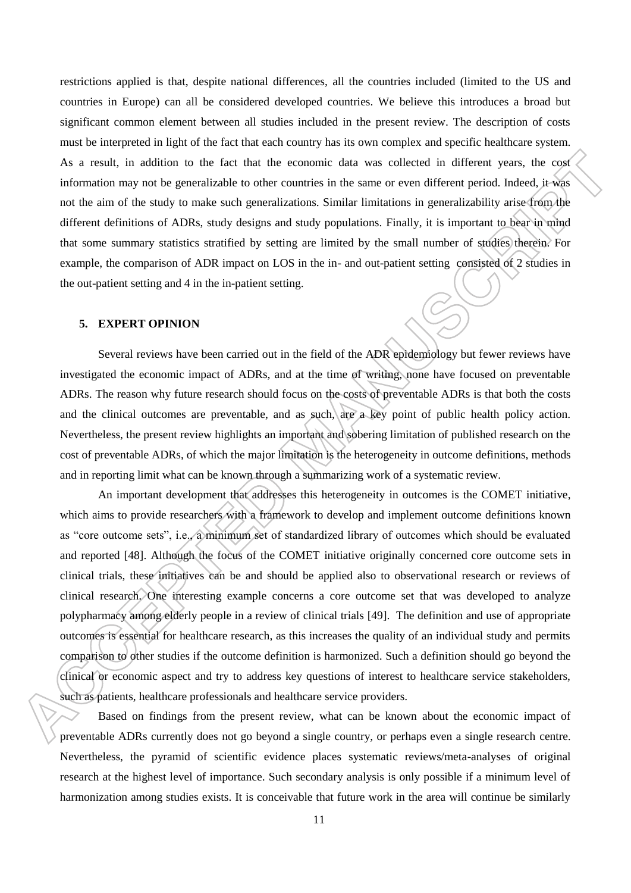restrictions applied is that, despite national differences, all the countries included (limited to the US and countries in Europe) can all be considered developed countries. We believe this introduces a broad but significant common element between all studies included in the present review. The description of costs must be interpreted in light of the fact that each country has its own complex and specific healthcare system. As a result, in addition to the fact that the economic data was collected in different years, the cost information may not be generalizable to other countries in the same or even different period. Indeed, it was not the aim of the study to make such generalizations. Similar limitations in generalizability arise from the different definitions of ADRs, study designs and study populations. Finally, it is important to bear in mind that some summary statistics stratified by setting are limited by the small number of studies therein. For example, the comparison of ADR impact on LOS in the in- and out-patient setting consisted of 2 studies in the out-patient setting and 4 in the in-patient setting.

# **5. EXPERT OPINION**

 Several reviews have been carried out in the field of the ADR epidemiology but fewer reviews have investigated the economic impact of ADRs, and at the time of writing, none have focused on preventable ADRs. The reason why future research should focus on the costs of preventable ADRs is that both the costs and the clinical outcomes are preventable, and as such, are a key point of public health policy action. Nevertheless, the present review highlights an important and sobering limitation of published research on the cost of preventable ADRs, of which the major limitation is the heterogeneity in outcome definitions, methods and in reporting limit what can be known through a summarizing work of a systematic review.

 An important development that addresses this heterogeneity in outcomes is the COMET initiative, which aims to provide researchers with a framework to develop and implement outcome definitions known as "core outcome sets", i.e., a minimum set of standardized library of outcomes which should be evaluated and reported [48]. Although the focus of the COMET initiative originally concerned core outcome sets in clinical trials, these initiatives can be and should be applied also to observational research or reviews of clinical research. One interesting example concerns a core outcome set that was developed to analyze polypharmacy among elderly people in a review of clinical trials [49]. The definition and use of appropriate outcomes is essential for healthcare research, as this increases the quality of an individual study and permits comparison to other studies if the outcome definition is harmonized. Such a definition should go beyond the clinical or economic aspect and try to address key questions of interest to healthcare service stakeholders, such as patients, healthcare professionals and healthcare service providers.

 Based on findings from the present review, what can be known about the economic impact of preventable ADRs currently does not go beyond a single country, or perhaps even a single research centre. Nevertheless, the pyramid of scientific evidence places systematic reviews/meta-analyses of original research at the highest level of importance. Such secondary analysis is only possible if a minimum level of harmonization among studies exists. It is conceivable that future work in the area will continue be similarly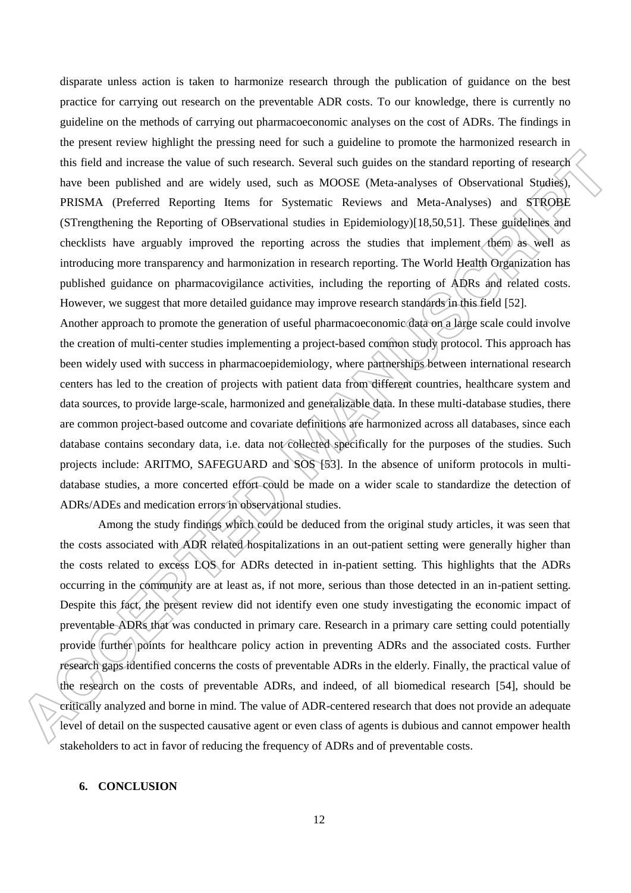disparate unless action is taken to harmonize research through the publication of guidance on the best practice for carrying out research on the preventable ADR costs. To our knowledge, there is currently no guideline on the methods of carrying out pharmacoeconomic analyses on the cost of ADRs. The findings in the present review highlight the pressing need for such a guideline to promote the harmonized research in this field and increase the value of such research. Several such guides on the standard reporting of research have been published and are widely used, such as MOOSE (Meta-analyses of Observational Studies), PRISMA (Preferred Reporting Items for Systematic Reviews and Meta-Analyses) and STROBE (STrengthening the Reporting of OBservational studies in Epidemiology)[18,50,51]. These guidelines and checklists have arguably improved the reporting across the studies that implement them as well as introducing more transparency and harmonization in research reporting. The World Health Organization has published guidance on pharmacovigilance activities, including the reporting of ADRs and related costs. However, we suggest that more detailed guidance may improve research standards in this field [52].

Another approach to promote the generation of useful pharmacoeconomic data on a large scale could involve the creation of multi-center studies implementing a project-based common study protocol. This approach has been widely used with success in pharmacoepidemiology, where partnerships between international research centers has led to the creation of projects with patient data from different countries, healthcare system and data sources, to provide large-scale, harmonized and generalizable data. In these multi-database studies, there are common project-based outcome and covariate definitions are harmonized across all databases, since each database contains secondary data, i.e. data not collected specifically for the purposes of the studies. Such projects include: ARITMO, SAFEGUARD and SOS [53]. In the absence of uniform protocols in multidatabase studies, a more concerted effort could be made on a wider scale to standardize the detection of ADRs/ADEs and medication errors in observational studies.

 Among the study findings which could be deduced from the original study articles, it was seen that the costs associated with ADR related hospitalizations in an out-patient setting were generally higher than the costs related to excess LOS for ADRs detected in in-patient setting. This highlights that the ADRs occurring in the community are at least as, if not more, serious than those detected in an in-patient setting. Despite this fact, the present review did not identify even one study investigating the economic impact of preventable ADRs that was conducted in primary care. Research in a primary care setting could potentially provide further points for healthcare policy action in preventing ADRs and the associated costs. Further research gaps identified concerns the costs of preventable ADRs in the elderly. Finally, the practical value of the research on the costs of preventable ADRs, and indeed, of all biomedical research [54], should be critically analyzed and borne in mind. The value of ADR-centered research that does not provide an adequate level of detail on the suspected causative agent or even class of agents is dubious and cannot empower health stakeholders to act in favor of reducing the frequency of ADRs and of preventable costs.

#### **6. CONCLUSION**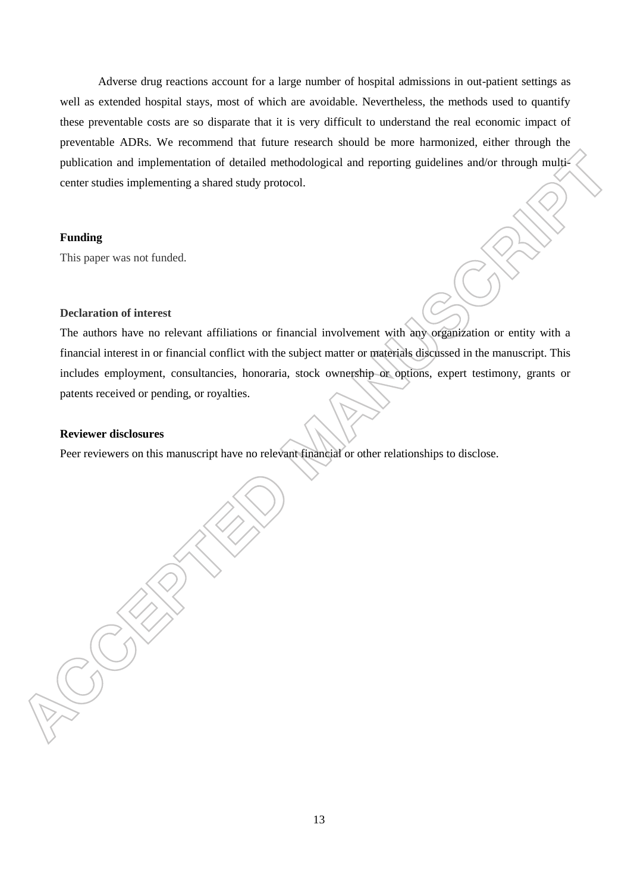Adverse drug reactions account for a large number of hospital admissions in out-patient settings as well as extended hospital stays, most of which are avoidable. Nevertheless, the methods used to quantify these preventable costs are so disparate that it is very difficult to understand the real economic impact of preventable ADRs. We recommend that future research should be more harmonized, either through the publication and implementation of detailed methodological and reporting guidelines and/or through multicenter studies implementing a shared study protocol.

#### **Funding**

This paper was not funded.

# **Declaration of interest**

The authors have no relevant affiliations or financial involvement with any organization or entity with a financial interest in or financial conflict with the subject matter or materials discussed in the manuscript. This includes employment, consultancies, honoraria, stock ownership or options, expert testimony, grants or patents received or pending, or royalties.

# **Reviewer disclosures**

Peer reviewers on this manuscript have no relevant financial or other relationships to disclose.

13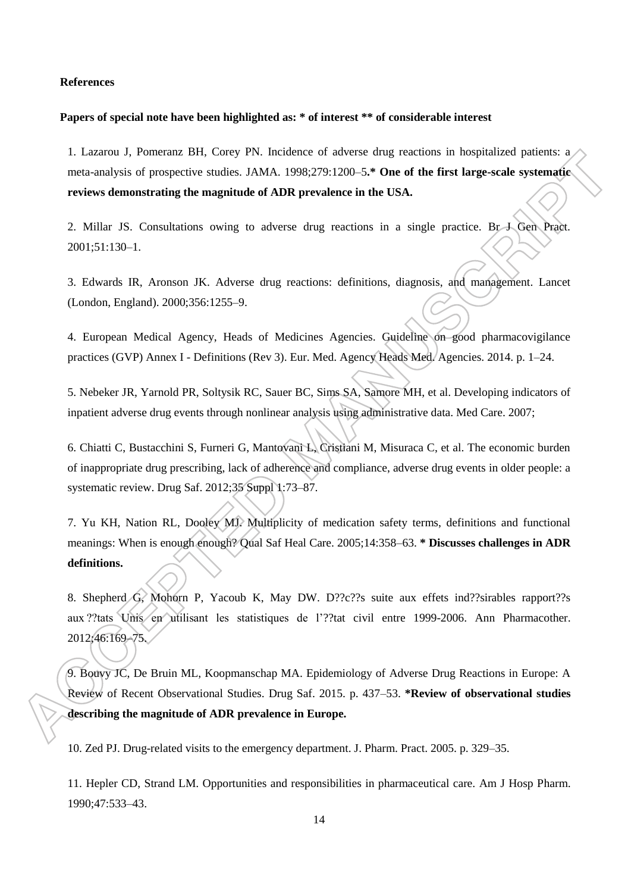#### **References**

#### Papers of special note have been highlighted as: \* of interest \*\* of considerable interest

1. Lazarou J, Pomeranz BH, Corey PN. Incidence of adverse drug reactions in hospitalized patients: a meta-analysis of prospective studies. JAMA. 1998;279:1200–5**.\* One of the first large-scale systematic reviews demonstrating the magnitude of ADR prevalence in the USA.**

2. Millar JS. Consultations owing to adverse drug reactions in a single practice. Br J Gen Pract. 2001;51:130–1.

3. Edwards IR, Aronson JK. Adverse drug reactions: definitions, diagnosis, and management. Lancet (London, England). 2000;356:1255–9.

4. European Medical Agency, Heads of Medicines Agencies. Guideline on good pharmacovigilance practices (GVP) Annex I - Definitions (Rev 3). Eur. Med. Agency Heads Med. Agencies. 2014. p. 1–24.

5. Nebeker JR, Yarnold PR, Soltysik RC, Sauer BC, Sims SA, Samore MH, et al. Developing indicators of inpatient adverse drug events through nonlinear analysis using administrative data. Med Care. 2007;

6. Chiatti C, Bustacchini S, Furneri G, Mantovani L, Cristiani M, Misuraca C, et al. The economic burden of inappropriate drug prescribing, lack of adherence and compliance, adverse drug events in older people: a systematic review. Drug Saf. 2012;35 Suppl 1:73–87.

7. Yu KH, Nation RL, Dooley MJ. Multiplicity of medication safety terms, definitions and functional meanings: When is enough enough? Qual Saf Heal Care. 2005;14:358–63. **\* Discusses challenges in ADR definitions.**

8. Shepherd G, Mohorn P, Yacoub K, May DW. D??c??s suite aux effets ind??sirables rapport??s aux ??tats Unis en utilisant les statistiques de l'??tat civil entre 1999-2006. Ann Pharmacother. 2012;46:169–75.

9. Bouvy JC, De Bruin ML, Koopmanschap MA. Epidemiology of Adverse Drug Reactions in Europe: A Review of Recent Observational Studies. Drug Saf. 2015. p. 437–53. **\*Review of observational studies describing the magnitude of ADR prevalence in Europe.**

10. Zed PJ. Drug-related visits to the emergency department. J. Pharm. Pract. 2005. p. 329–35.

11. Hepler CD, Strand LM. Opportunities and responsibilities in pharmaceutical care. Am J Hosp Pharm. 1990;47:533–43.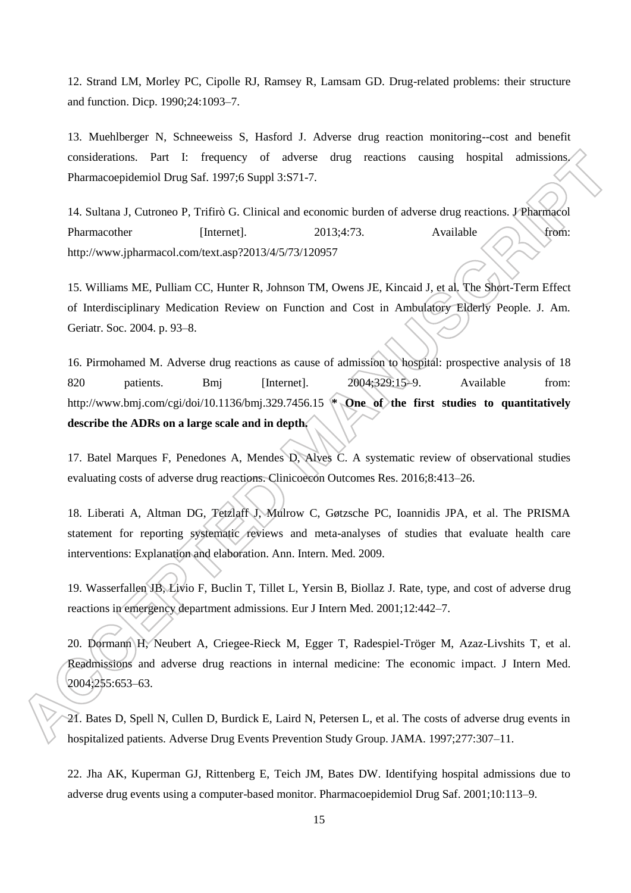12. Strand LM, Morley PC, Cipolle RJ, Ramsey R, Lamsam GD. Drug-related problems: their structure and function. Dicp. 1990;24:1093–7.

13. Muehlberger N, Schneeweiss S, Hasford J. Adverse drug reaction monitoring--cost and benefit considerations. Part I: frequency of adverse drug reactions causing hospital admissions. Pharmacoepidemiol Drug Saf. 1997;6 Suppl 3:S71-7.

14. Sultana J, Cutroneo P, Trifirò G. Clinical and economic burden of adverse drug reactions. J Pharmacol Pharmacother [Internet]. 2013;4:73. Available from: http://www.jpharmacol.com/text.asp?2013/4/5/73/120957

15. Williams ME, Pulliam CC, Hunter R, Johnson TM, Owens JE, Kincaid J, et al. The Short-Term Effect of Interdisciplinary Medication Review on Function and Cost in Ambulatory Elderly People. J. Am. Geriatr. Soc. 2004. p. 93–8.

16. Pirmohamed M. Adverse drug reactions as cause of admission to hospital: prospective analysis of 18 820 patients. Bmj [Internet]. 2004;329:15–9. Available from: http://www.bmj.com/cgi/doi/10.1136/bmj.329.7456.15 **\* One of the first studies to quantitatively describe the ADRs on a large scale and in depth.**

17. Batel Marques F, Penedones A, Mendes D, Alves C. A systematic review of observational studies evaluating costs of adverse drug reactions. Clinicoecon Outcomes Res. 2016;8:413–26.

18. Liberati A, Altman DG, Tetzlaff J, Mulrow C, Gøtzsche PC, Ioannidis JPA, et al. The PRISMA statement for reporting systematic reviews and meta-analyses of studies that evaluate health care interventions: Explanation and elaboration. Ann. Intern. Med. 2009.

19. Wasserfallen JB, Livio F, Buclin T, Tillet L, Yersin B, Biollaz J. Rate, type, and cost of adverse drug reactions in emergency department admissions. Eur J Intern Med. 2001;12:442–7.

20. Dormann H, Neubert A, Criegee-Rieck M, Egger T, Radespiel-Tröger M, Azaz-Livshits T, et al. Readmissions and adverse drug reactions in internal medicine: The economic impact. J Intern Med. 2004;255:653–63.

21. Bates D, Spell N, Cullen D, Burdick E, Laird N, Petersen L, et al. The costs of adverse drug events in hospitalized patients. Adverse Drug Events Prevention Study Group. JAMA. 1997;277:307–11.

22. Jha AK, Kuperman GJ, Rittenberg E, Teich JM, Bates DW. Identifying hospital admissions due to adverse drug events using a computer-based monitor. Pharmacoepidemiol Drug Saf. 2001;10:113–9.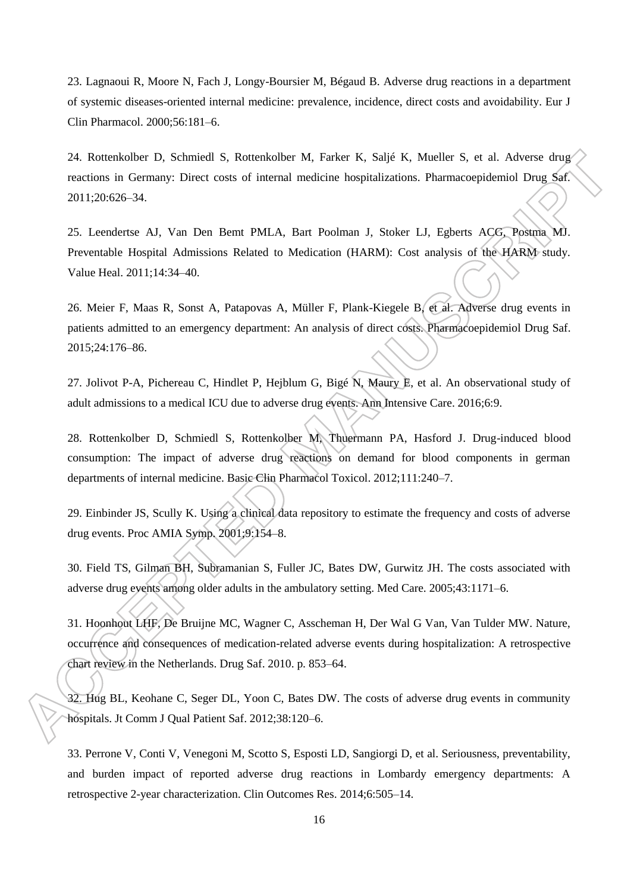23. Lagnaoui R, Moore N, Fach J, Longy-Boursier M, Bégaud B. Adverse drug reactions in a department of systemic diseases-oriented internal medicine: prevalence, incidence, direct costs and avoidability. Eur J Clin Pharmacol. 2000;56:181–6.

24. Rottenkolber D, Schmiedl S, Rottenkolber M, Farker K, Saljé K, Mueller S, et al. Adverse drug reactions in Germany: Direct costs of internal medicine hospitalizations. Pharmacoepidemiol Drug Saf. 2011;20:626–34.

25. Leendertse AJ, Van Den Bemt PMLA, Bart Poolman J, Stoker LJ, Egberts ACG, Postma MJ. Preventable Hospital Admissions Related to Medication (HARM): Cost analysis of the HARM study. Value Heal. 2011;14:34–40.

26. Meier F, Maas R, Sonst A, Patapovas A, Müller F, Plank-Kiegele B, et al. Adverse drug events in patients admitted to an emergency department: An analysis of direct costs. Pharmacoepidemiol Drug Saf. 2015;24:176–86.

27. Jolivot P-A, Pichereau C, Hindlet P, Hejblum G, Bigé N, Maury E, et al. An observational study of adult admissions to a medical ICU due to adverse drug events. Ann Intensive Care. 2016;6:9.

28. Rottenkolber D, Schmiedl S, Rottenkolber M, Thuermann PA, Hasford J. Drug-induced blood consumption: The impact of adverse drug reactions on demand for blood components in german departments of internal medicine. Basic Clin Pharmacol Toxicol. 2012;111:240–7.

29. Einbinder JS, Scully K. Using a clinical data repository to estimate the frequency and costs of adverse drug events. Proc AMIA Symp. 2001;9:154–8.

30. Field TS, Gilman BH, Subramanian S, Fuller JC, Bates DW, Gurwitz JH. The costs associated with adverse drug events among older adults in the ambulatory setting. Med Care. 2005;43:1171–6.

31. Hoonhout LHF, De Bruijne MC, Wagner C, Asscheman H, Der Wal G Van, Van Tulder MW. Nature, occurrence and consequences of medication-related adverse events during hospitalization: A retrospective chart review in the Netherlands. Drug Saf. 2010. p. 853–64.

32. Hug BL, Keohane C, Seger DL, Yoon C, Bates DW. The costs of adverse drug events in community hospitals. Jt Comm J Qual Patient Saf. 2012;38:120-6.

33. Perrone V, Conti V, Venegoni M, Scotto S, Esposti LD, Sangiorgi D, et al. Seriousness, preventability, and burden impact of reported adverse drug reactions in Lombardy emergency departments: A retrospective 2-year characterization. Clin Outcomes Res. 2014;6:505–14.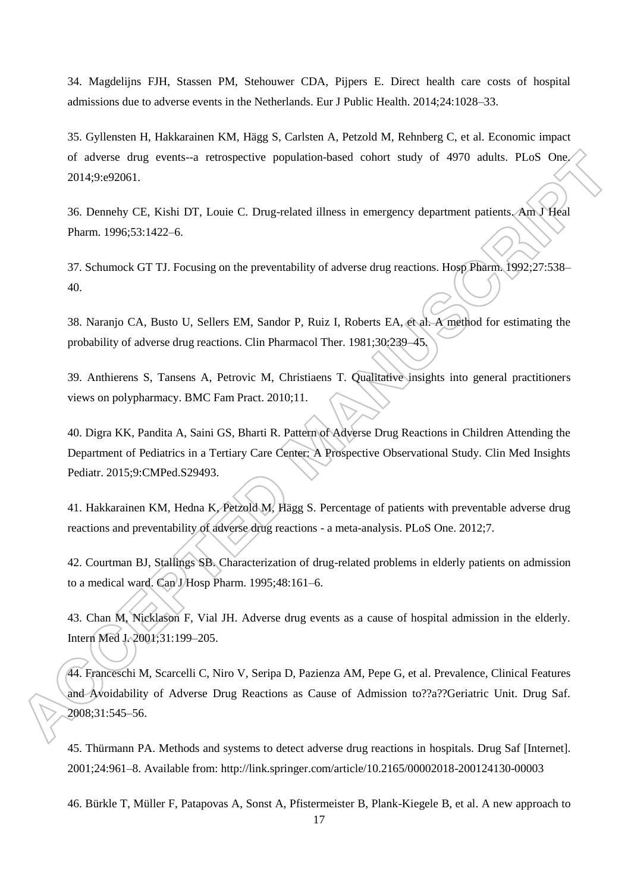34. Magdelijns FJH, Stassen PM, Stehouwer CDA, Pijpers E. Direct health care costs of hospital admissions due to adverse events in the Netherlands. Eur J Public Health. 2014;24:1028–33.

35. Gyllensten H, Hakkarainen KM, Hägg S, Carlsten A, Petzold M, Rehnberg C, et al. Economic impact of adverse drug events--a retrospective population-based cohort study of 4970 adults. PLoS One. 2014;9:e92061.

36. Dennehy CE, Kishi DT, Louie C. Drug-related illness in emergency department patients. Am J Heal Pharm. 1996;53:1422–6.

37. Schumock GT TJ. Focusing on the preventability of adverse drug reactions. Hosp Pharm. 1992;27:538– 40.

38. Naranjo CA, Busto U, Sellers EM, Sandor P, Ruiz I, Roberts EA, et al. A method for estimating the probability of adverse drug reactions. Clin Pharmacol Ther. 1981;30:239–45.

39. Anthierens S, Tansens A, Petrovic M, Christiaens T. Qualitative insights into general practitioners views on polypharmacy. BMC Fam Pract. 2010;11.

40. Digra KK, Pandita A, Saini GS, Bharti R. Pattern of Adverse Drug Reactions in Children Attending the Department of Pediatrics in a Tertiary Care Center: A Prospective Observational Study. Clin Med Insights Pediatr. 2015;9:CMPed.S29493.

41. Hakkarainen KM, Hedna K, Petzold M, Hägg S. Percentage of patients with preventable adverse drug reactions and preventability of adverse drug reactions - a meta-analysis. PLoS One. 2012;7.

42. Courtman BJ, Stallings SB. Characterization of drug-related problems in elderly patients on admission to a medical ward. Can J/Hosp Pharm. 1995;48:161-6.

43. Chan M, Nicklason F, Vial JH. Adverse drug events as a cause of hospital admission in the elderly. Intern Med J. 2001;31:199–205.

44. Franceschi M, Scarcelli C, Niro V, Seripa D, Pazienza AM, Pepe G, et al. Prevalence, Clinical Features and Avoidability of Adverse Drug Reactions as Cause of Admission to??a??Geriatric Unit. Drug Saf. 2008;31:545–56.

45. Thürmann PA. Methods and systems to detect adverse drug reactions in hospitals. Drug Saf [Internet]. 2001;24:961–8. Available from: http://link.springer.com/article/10.2165/00002018-200124130-00003

46. Bürkle T, Müller F, Patapovas A, Sonst A, Pfistermeister B, Plank-Kiegele B, et al. A new approach to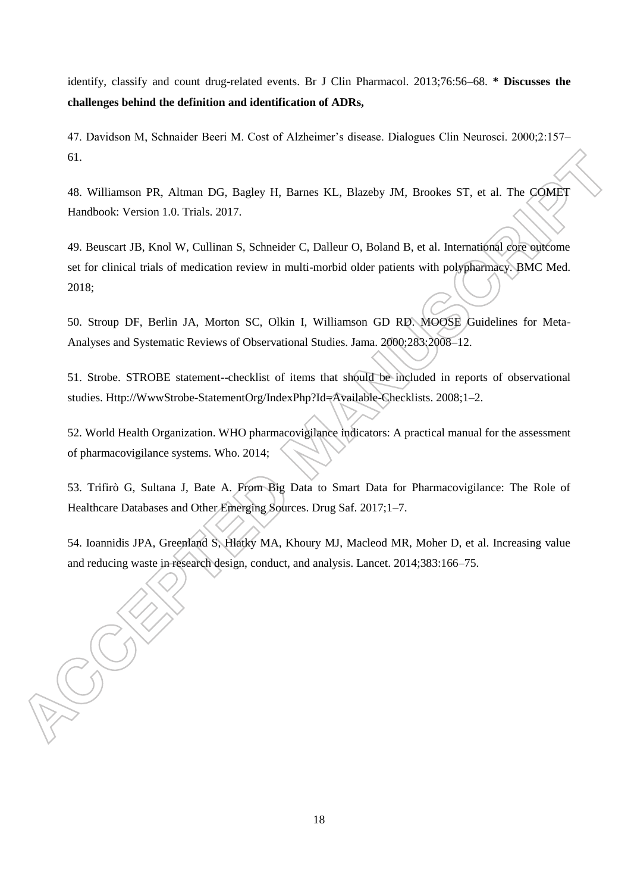identify, classify and count drug-related events. Br J Clin Pharmacol. 2013;76:56–68. **\* Discusses the challenges behind the definition and identification of ADRs,**

47. Davidson M, Schnaider Beeri M. Cost of Alzheimer's disease. Dialogues Clin Neurosci. 2000;2:157– 61.

48. Williamson PR, Altman DG, Bagley H, Barnes KL, Blazeby JM, Brookes ST, et al. The COMET Handbook: Version 1.0. Trials. 2017.

49. Beuscart JB, Knol W, Cullinan S, Schneider C, Dalleur O, Boland B, et al. International core outcome set for clinical trials of medication review in multi-morbid older patients with polypharmacy. BMC Med. 2018;

50. Stroup DF, Berlin JA, Morton SC, Olkin I, Williamson GD RD. MOOSE Guidelines for Meta-Analyses and Systematic Reviews of Observational Studies. Jama. 2000;283:2008–12.

51. Strobe. STROBE statement--checklist of items that should be included in reports of observational studies. Http://WwwStrobe-StatementOrg/IndexPhp?Id=Available-Checklists. 2008;1–2.

52. World Health Organization. WHO pharmacovigilance indicators: A practical manual for the assessment of pharmacovigilance systems. Who. 2014;

53. Trifirò G, Sultana J, Bate A. From Big Data to Smart Data for Pharmacovigilance: The Role of Healthcare Databases and Other Emerging Sources. Drug Saf. 2017;1–7.

54. Ioannidis JPA, Greenland S, Hlatky MA, Khoury MJ, Macleod MR, Moher D, et al. Increasing value and reducing waste in research design, conduct, and analysis. Lancet. 2014;383:166–75.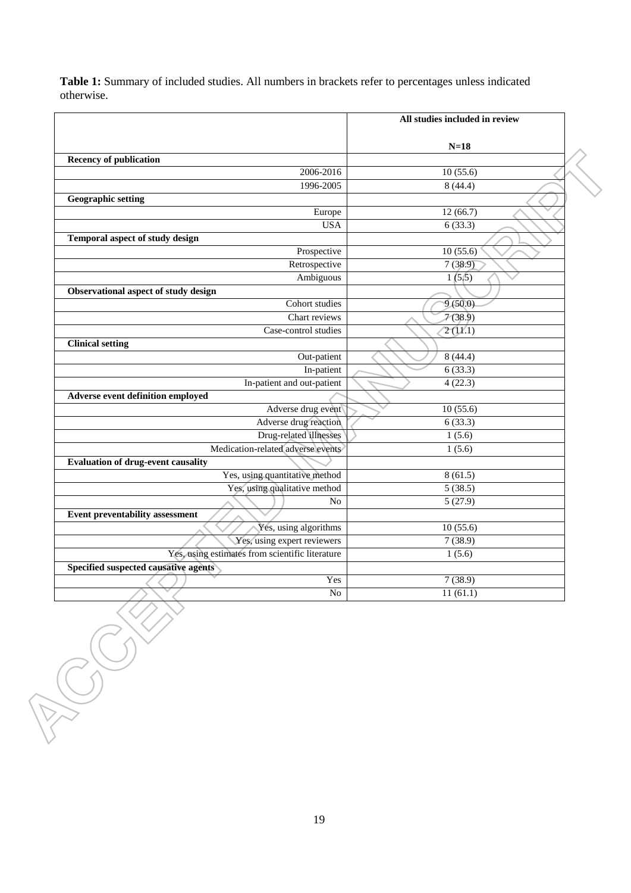**Table 1:** Summary of included studies. All numbers in brackets refer to percentages unless indicated otherwise.

|                                                 | All studies included in review |
|-------------------------------------------------|--------------------------------|
|                                                 | $N=18$                         |
| <b>Recency of publication</b>                   |                                |
| 2006-2016                                       | 10(55.6)                       |
| 1996-2005                                       | 8(44.4)                        |
| <b>Geographic setting</b>                       |                                |
| Europe                                          | 12(66.7)                       |
| <b>USA</b>                                      | 6(33.3)                        |
| Temporal aspect of study design                 |                                |
| Prospective<br>Retrospective                    | 10(55.6)<br>7(38.9)            |
| Ambiguous                                       | 1(5.5)                         |
| Observational aspect of study design            |                                |
| Cohort studies                                  | 9(50.0)                        |
| Chart reviews                                   | 7(38.9)                        |
| Case-control studies                            | 2(11.1)                        |
| <b>Clinical setting</b>                         |                                |
| Out-patient                                     | 8(44.4)                        |
| In-patient                                      | 6(33.3)                        |
| In-patient and out-patient                      | 4(22.3)                        |
| Adverse event definition employed               |                                |
| Adverse drug event                              | 10(55.6)                       |
| Adverse drug reaction                           | 6(33.3)                        |
| Drug-related illnesses                          | 1(5.6)                         |
| Medication-related adverse events               | 1(5.6)                         |
| <b>Evaluation of drug-event causality</b>       |                                |
| Yes, using quantitative method                  | 8(61.5)                        |
| Yes, using qualitative method                   | 5(38.5)                        |
| No<br><b>Event preventability assessment</b>    | 5(27.9)                        |
| Yes, using algorithms                           | 10(55.6)                       |
| Yes, using expert reviewers                     | 7(38.9)                        |
| Yes, using estimates from scientific literature | 1(5.6)                         |
| Specified suspected causative agents            |                                |
| Yes                                             | 7(38.9)                        |
| $\rm No$                                        | 11(61.1)                       |
|                                                 |                                |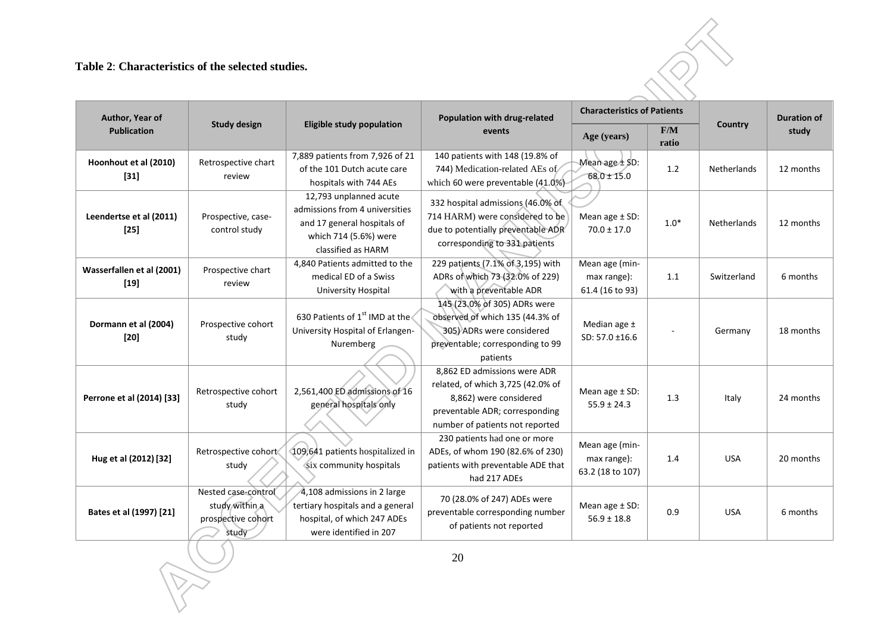RU

| Author, Year of                     |                                                                      |                                                                                                                                        | Population with drug-related                                                                                                                                     | <b>Characteristics of Patients</b>                |              |                    | <b>Duration of</b><br>study |  |
|-------------------------------------|----------------------------------------------------------------------|----------------------------------------------------------------------------------------------------------------------------------------|------------------------------------------------------------------------------------------------------------------------------------------------------------------|---------------------------------------------------|--------------|--------------------|-----------------------------|--|
| <b>Publication</b>                  | <b>Study design</b>                                                  | <b>Eligible study population</b><br>events                                                                                             |                                                                                                                                                                  | Age (years)                                       | F/M<br>ratio | Country            |                             |  |
| Hoonhout et al (2010)<br>$[31]$     | Retrospective chart<br>review                                        | 7,889 patients from 7,926 of 21<br>of the 101 Dutch acute care<br>hospitals with 744 AEs                                               | 140 patients with 148 (19.8% of<br>744) Medication-related AEs of<br>which 60 were preventable (41.0%)-                                                          | Mean age $\pm$ SD:<br>$68.0 \pm 15.0$             | 1.2          | <b>Netherlands</b> | 12 months                   |  |
| Leendertse et al (2011)<br>$[25]$   | Prospective, case-<br>control study                                  | 12,793 unplanned acute<br>admissions from 4 universities<br>and 17 general hospitals of<br>which 714 (5.6%) were<br>classified as HARM | 332 hospital admissions (46.0% of<br>714 HARM) were considered to be<br>due to potentially preventable ADR<br>corresponding to 331 patients                      | Mean age $\pm$ SD:<br>$70.0 \pm 17.0$             | $1.0*$       | Netherlands        | 12 months                   |  |
| Wasserfallen et al (2001)<br>$[19]$ | Prospective chart<br>review                                          | 4,840 Patients admitted to the<br>medical ED of a Swiss<br>University Hospital                                                         | 229 patients (7.1% of 3,195) with<br>ADRs of which 73 (32.0% of 229)<br>with a preventable ADR                                                                   | Mean age (min-<br>max range):<br>61.4 (16 to 93)  | 1.1          | Switzerland        | 6 months                    |  |
| Dormann et al (2004)<br>[20]        | Prospective cohort<br>study                                          | 630 Patients of 1 <sup>st</sup> IMD at the<br>University Hospital of Erlangen-<br>Nuremberg                                            | 145 (23.0% of 305) ADRs were<br>observed of which 135 (44.3% of<br>305) ADRs were considered<br>preventable; corresponding to 99<br>patients                     | Median age ±<br>SD: 57.0 ±16.6                    |              | Germany            | 18 months                   |  |
| Perrone et al (2014) [33]           | Retrospective cohort<br>study                                        | 2,561,400 ED admissions of 16<br>general hospitals only                                                                                | 8,862 ED admissions were ADR<br>related, of which 3,725 (42.0% of<br>8,862) were considered<br>preventable ADR; corresponding<br>number of patients not reported | Mean age ± SD:<br>$55.9 \pm 24.3$                 | 1.3          | Italy              | 24 months                   |  |
| Hug et al (2012) [32]               | Retrospective cohort<br>study                                        | 109,641 patients hospitalized in<br>six community hospitals                                                                            | 230 patients had one or more<br>ADEs, of whom 190 (82.6% of 230)<br>patients with preventable ADE that<br>had 217 ADEs                                           | Mean age (min-<br>max range):<br>63.2 (18 to 107) | 1.4          | <b>USA</b>         | 20 months                   |  |
| Bates et al (1997) [21]             | Nested case-control<br>study within a<br>prospective cohort<br>study | 4,108 admissions in 2 large<br>tertiary hospitals and a general<br>hospital, of which 247 ADEs<br>were identified in 207               | 70 (28.0% of 247) ADEs were<br>preventable corresponding number<br>of patients not reported                                                                      | Mean age $\pm$ SD:<br>$56.9 \pm 18.8$             | 0.9          | <b>USA</b>         | 6 months                    |  |

 $\sum_{i=1}^{n}$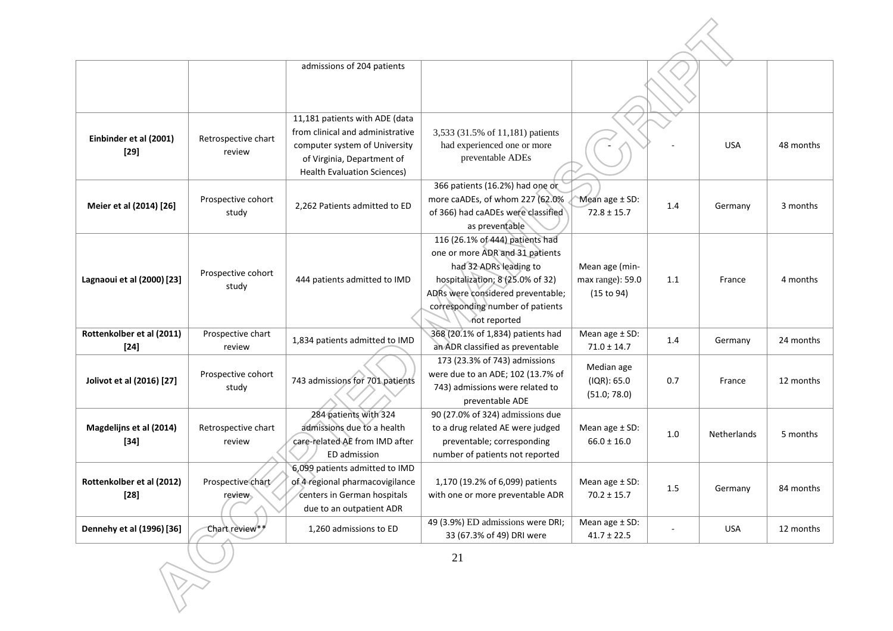|                                     |                               | admissions of 204 patients                                                                                                                                              |                                                                                                                                                                                                                           |                                                  |     |             |           |
|-------------------------------------|-------------------------------|-------------------------------------------------------------------------------------------------------------------------------------------------------------------------|---------------------------------------------------------------------------------------------------------------------------------------------------------------------------------------------------------------------------|--------------------------------------------------|-----|-------------|-----------|
| Einbinder et al (2001)<br>$[29]$    | Retrospective chart<br>review | 11,181 patients with ADE (data<br>from clinical and administrative<br>computer system of University<br>of Virginia, Department of<br><b>Health Evaluation Sciences)</b> | 3,533 (31.5% of 11,181) patients<br>had experienced one or more<br>preventable ADEs                                                                                                                                       |                                                  |     | <b>USA</b>  | 48 months |
| Meier et al (2014) [26]             | Prospective cohort<br>study   | 2,262 Patients admitted to ED                                                                                                                                           | 366 patients (16.2%) had one or<br>more caADEs, of whom 227 (62.0%<br>of 366) had caADEs were classified<br>as preventable                                                                                                | Mean age ± SD:<br>$72.8 \pm 15.7$                | 1.4 | Germany     | 3 months  |
| Lagnaoui et al (2000) [23]          | Prospective cohort<br>study   | 444 patients admitted to IMD                                                                                                                                            | 116 (26.1% of 444) patients had<br>one or more ADR and 31 patients<br>had 32 ADRs leading to<br>hospitalization; 8 (25.0% of 32)<br>ADRs were considered preventable;<br>corresponding number of patients<br>not reported | Mean age (min-<br>max range): 59.0<br>(15 to 94) | 1.1 | France      | 4 months  |
| Rottenkolber et al (2011)<br>$[24]$ | Prospective chart<br>review   | 1,834 patients admitted to IMD                                                                                                                                          | 368 (20.1% of 1,834) patients had<br>an ADR classified as preventable                                                                                                                                                     | Mean age ± SD:<br>$71.0 \pm 14.7$                | 1.4 | Germany     | 24 months |
| Jolivot et al (2016) [27]           | Prospective cohort<br>study   | 743 admissions for 701 patients                                                                                                                                         | 173 (23.3% of 743) admissions<br>were due to an ADE; 102 (13.7% of<br>743) admissions were related to<br>preventable ADE                                                                                                  | Median age<br>(IQR): 65.0<br>(51.0; 78.0)        | 0.7 | France      | 12 months |
| Magdelijns et al (2014)<br>$[34]$   | Retrospective chart<br>review | 284 patients with 324<br>admissions due to a health<br>care-related AE from IMD after<br>ED admission                                                                   | 90 (27.0% of 324) admissions due<br>to a drug related AE were judged<br>preventable; corresponding<br>number of patients not reported                                                                                     | Mean age $\pm$ SD:<br>$66.0 \pm 16.0$            | 1.0 | Netherlands | 5 months  |
| Rottenkolber et al (2012)<br>$[28]$ | Prospective chart<br>review   | 6,099 patients admitted to IMD<br>of 4 regional pharmacovigilance<br>centers in German hospitals<br>due to an outpatient ADR                                            | 1,170 (19.2% of 6,099) patients<br>with one or more preventable ADR                                                                                                                                                       | Mean age ± SD:<br>$70.2 \pm 15.7$                | 1.5 | Germany     | 84 months |
| Dennehy et al (1996) [36]           | Chart review**                | 1,260 admissions to ED                                                                                                                                                  | 49 (3.9%) ED admissions were DRI;<br>33 (67.3% of 49) DRI were                                                                                                                                                            | Mean age ± SD:<br>$41.7 \pm 22.5$                |     | <b>USA</b>  | 12 months |
|                                     |                               |                                                                                                                                                                         | 21                                                                                                                                                                                                                        |                                                  |     |             |           |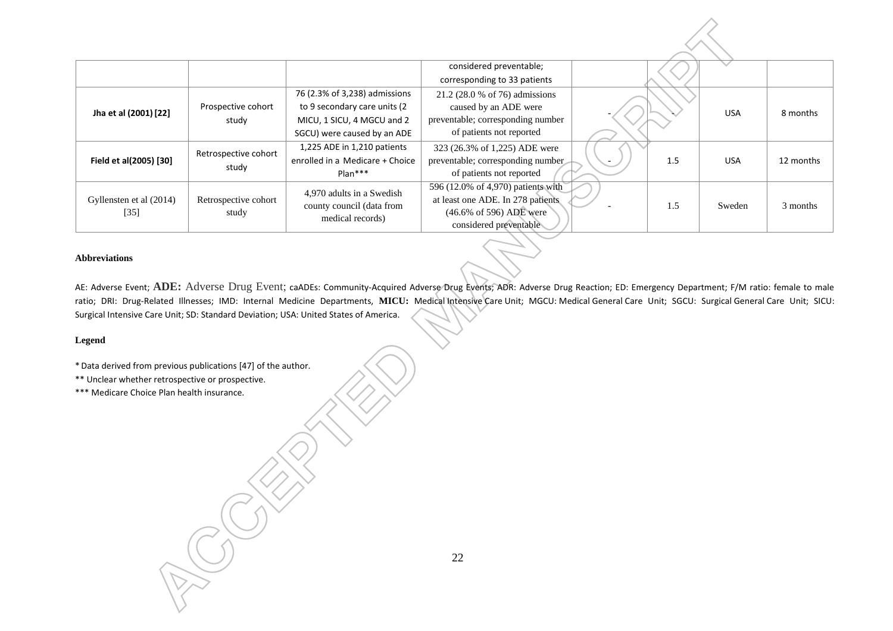|                         |                      |                                 | considered preventable;                                       |     |            |           |
|-------------------------|----------------------|---------------------------------|---------------------------------------------------------------|-----|------------|-----------|
|                         |                      |                                 | corresponding to 33 patients                                  |     |            |           |
|                         |                      | 76 (2.3% of 3,238) admissions   | 21.2 (28.0 % of 76) admissions                                |     |            |           |
|                         | Prospective cohort   | to 9 secondary care units (2    | caused by an ADE were                                         |     |            | 8 months  |
| Jha et al (2001) [22]   | study                | MICU, 1 SICU, 4 MGCU and 2      | preventable; corresponding number                             |     |            |           |
|                         |                      | SGCU) were caused by an ADE     | of patients not reported                                      |     |            |           |
|                         |                      | 1,225 ADE in 1,210 patients     | 323 (26.3% of 1,225) ADE were                                 |     |            |           |
| Field et al(2005) [30]  | Retrospective cohort | enrolled in a Medicare + Choice | preventable; corresponding number<br>$\overline{\phantom{0}}$ | 1.5 | <b>USA</b> | 12 months |
|                         | study                | $Plan***$                       | of patients not reported                                      |     |            |           |
|                         |                      | 4,970 adults in a Swedish       | 596 (12.0% of 4,970) patients with                            |     |            |           |
| Gyllensten et al (2014) | Retrospective cohort | county council (data from       | at least one ADE. In 278 patients                             | 1.5 | Sweden     | 3 months  |
| [35]                    | study                | medical records)                | (46.6% of 596) ADE were                                       |     |            |           |
|                         |                      |                                 | considered preventable                                        |     |            |           |

#### **Abbreviations**

AE: Adverse Event; ADE: Adverse Drug Event; caADEs: Community-Acquired Adverse Drug Events; ADR: Adverse Drug Reaction; ED: Emergency Department; F/M ratio: female to male ratio; DRI: Drug-Related Illnesses; IMD: Internal Medicine Departments, MICU: Medical Intensive Care Unit; MGCU: Medical General Care Unit; SGCU: Surgical General Care Unit; SICU: Surgical Intensive Care Unit; SD: Standard Deviation; USA: United States of America.

#### **Legend**

\*Data derived from previous publications [47] of the author.

\*\* Unclear whether retrospective or prospective.

\*\*\* Medicare Choice Plan health insurance.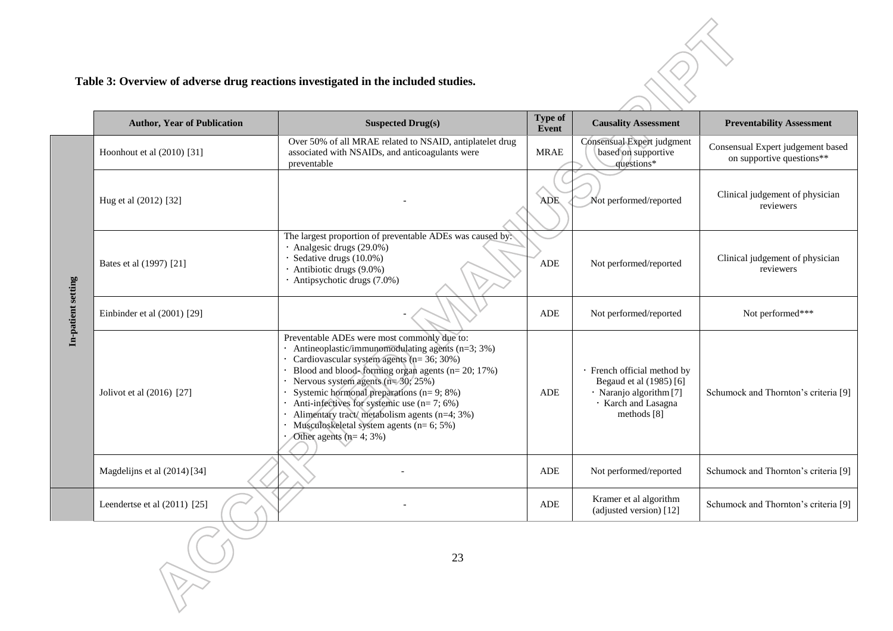RUCIO

|                    |                                    | Table 3: Overview of adverse drug reactions investigated in the included studies.                                                                                                                                                                                                                                                                                                                                                                                                    |                         |                                                                                                                         |                                                                |
|--------------------|------------------------------------|--------------------------------------------------------------------------------------------------------------------------------------------------------------------------------------------------------------------------------------------------------------------------------------------------------------------------------------------------------------------------------------------------------------------------------------------------------------------------------------|-------------------------|-------------------------------------------------------------------------------------------------------------------------|----------------------------------------------------------------|
|                    | <b>Author, Year of Publication</b> | <b>Suspected Drug(s)</b>                                                                                                                                                                                                                                                                                                                                                                                                                                                             | <b>Type of</b><br>Event | <b>Causality Assessment</b>                                                                                             | <b>Preventability Assessment</b>                               |
|                    | Hoonhout et al (2010) [31]         | Over 50% of all MRAE related to NSAID, antiplatelet drug<br>associated with NSAIDs, and anticoagulants were<br>preventable                                                                                                                                                                                                                                                                                                                                                           | <b>MRAE</b>             | Consensual Expert judgment<br>based on supportive<br>questions*                                                         | Consensual Expert judgement based<br>on supportive questions** |
|                    | Hug et al (2012) [32]              |                                                                                                                                                                                                                                                                                                                                                                                                                                                                                      | <b>ADE</b>              | Not performed/reported                                                                                                  | Clinical judgement of physician<br>reviewers                   |
|                    | Bates et al (1997) [21]            | The largest proportion of preventable ADEs was caused by:<br>· Analgesic drugs (29.0%)<br>· Sedative drugs $(10.0\%)$<br>· Antibiotic drugs (9.0%)<br>· Antipsychotic drugs $(7.0\%)$                                                                                                                                                                                                                                                                                                | <b>ADE</b>              | Not performed/reported                                                                                                  | Clinical judgement of physician<br>reviewers                   |
|                    | Einbinder et al (2001) [29]        |                                                                                                                                                                                                                                                                                                                                                                                                                                                                                      | $\mbox{ADE}$            | Not performed/reported                                                                                                  | Not performed***                                               |
| In-patient setting | Jolivot et al (2016) [27]          | Preventable ADEs were most commonly due to:<br>Antineoplastic/immunomodulating agents $(n=3; 3%)$<br>Cardiovascular system agents ( $n = 36$ ; 30%)<br>Blood and blood-forming organ agents ( $n = 20$ ; 17%)<br>Nervous system agents $(n=30, 25\%)$<br>Systemic hormonal preparations ( $n=9$ ; 8%)<br>Anti-infectives for systemic use $(n=7, 6\%)$<br>Alimentary tract/metabolism agents $(n=4; 3%)$<br>Musculoskeletal system agents ( $n=6$ ; 5%)<br>Other agents $(n=4; 3\%)$ | <b>ADE</b>              | · French official method by<br>Begaud et al (1985) [6]<br>· Naranjo algorithm [7]<br>· Karch and Lasagna<br>methods [8] | Schumock and Thornton's criteria [9]                           |
|                    | Magdelijns et al (2014) [34]       |                                                                                                                                                                                                                                                                                                                                                                                                                                                                                      | $\mbox{ADE}$            | Not performed/reported                                                                                                  | Schumock and Thornton's criteria [9]                           |
|                    | Leendertse et al (2011) [25]       |                                                                                                                                                                                                                                                                                                                                                                                                                                                                                      | ADE                     | Kramer et al algorithm<br>(adjusted version) [12]                                                                       | Schumock and Thornton's criteria [9]                           |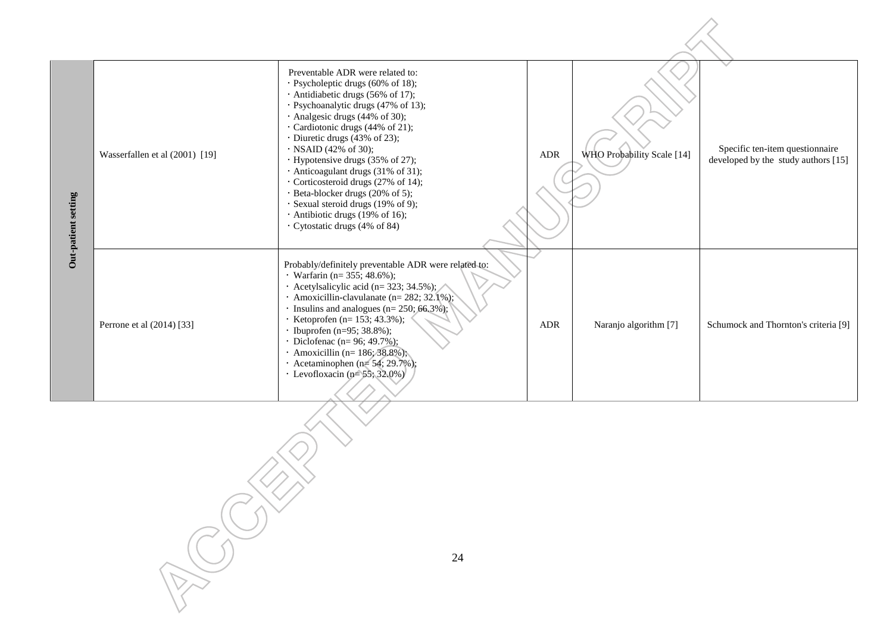| setting<br>Out-patient | Wasserfallen et al (2001) [19] | Preventable ADR were related to:<br>· Psycholeptic drugs (60% of 18);<br>· Antidiabetic drugs (56% of 17);<br>· Psychoanalytic drugs (47% of 13);<br>· Analgesic drugs (44% of 30);<br>· Cardiotonic drugs (44% of 21);<br>· Diuretic drugs (43% of 23);<br>$\cdot$ NSAID (42% of 30);<br>$\cdot$ Hypotensive drugs (35% of 27);<br>· Anticoagulant drugs (31% of 31);<br>· Corticosteroid drugs (27% of 14);<br>· Beta-blocker drugs (20% of 5);<br>· Sexual steroid drugs (19% of 9);<br>· Antibiotic drugs (19% of 16);<br>· Cytostatic drugs (4% of 84) | <b>ADR</b> | WHO Probability Scale [14] | Specific ten-item questionnaire<br>developed by the study authors [15] |
|------------------------|--------------------------------|-------------------------------------------------------------------------------------------------------------------------------------------------------------------------------------------------------------------------------------------------------------------------------------------------------------------------------------------------------------------------------------------------------------------------------------------------------------------------------------------------------------------------------------------------------------|------------|----------------------------|------------------------------------------------------------------------|
|                        | Perrone et al (2014) [33]      | Probably/definitely preventable ADR were related to:<br>• Warfarin (n= 355; 48.6%);<br>· Acetylsalicylic acid ( $n = 323$ ; 34.5%);<br>· Amoxicillin-clavulanate ( $n = 282$ ; 32.1%);<br>$\cdot$ Insulins and analogues (n= 250; 66.3%);<br>• Ketoprofen (n= 153; 43.3%);<br>• Ibuprofen (n=95; 38.8%);<br>• Diclofenac (n= 96; 49.7%);<br>• Amoxicillin (n= $186; 38.8\%$ );<br>· Acetaminophen ( $n = 54$ ; 29.7%);<br>· Levofloxacin ( $n=55$ ; 32.0%)                                                                                                  | <b>ADR</b> | Naranjo algorithm [7]      | Schumock and Thornton's criteria [9]                                   |

COV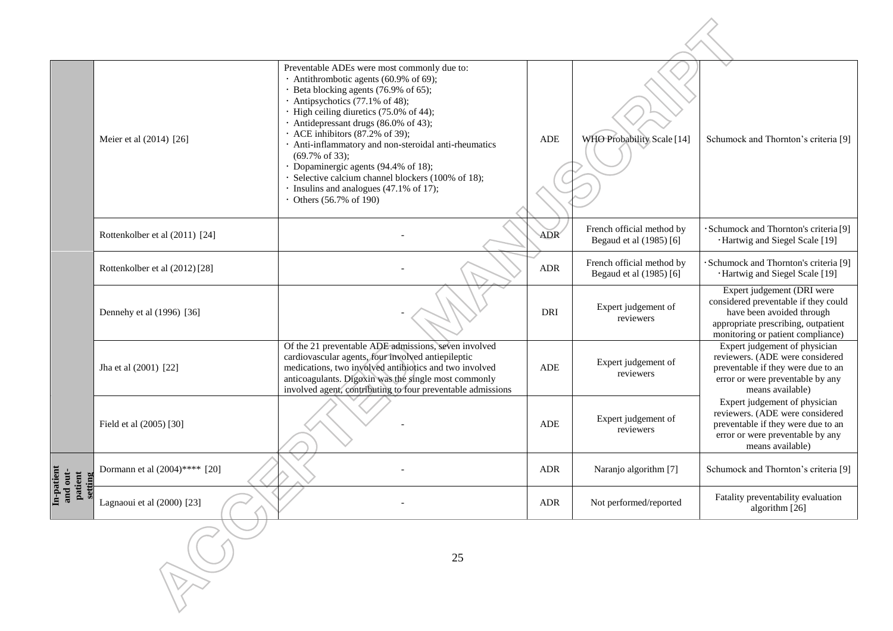|                                              | Meier et al (2014) [26]        | Preventable ADEs were most commonly due to:<br>· Antithrombotic agents (60.9% of 69);<br>· Beta blocking agents (76.9% of 65);<br>· Antipsychotics (77.1% of 48);<br>$\cdot$ High ceiling diuretics (75.0% of 44);<br>$\cdot$ Antidepressant drugs (86.0% of 43);<br>$\cdot$ ACE inhibitors (87.2% of 39);<br>· Anti-inflammatory and non-steroidal anti-rheumatics<br>$(69.7\% \text{ of } 33);$<br>· Dopaminergic agents (94.4% of 18);<br>· Selective calcium channel blockers (100% of 18);<br>$\cdot$ Insulins and analogues (47.1% of 17);<br>• Others $(56.7\% \text{ of } 190)$ | ADE              | WHO Probability Scale [14]                           | Schumock and Thornton's criteria [9]                                                                                                                                        |
|----------------------------------------------|--------------------------------|-----------------------------------------------------------------------------------------------------------------------------------------------------------------------------------------------------------------------------------------------------------------------------------------------------------------------------------------------------------------------------------------------------------------------------------------------------------------------------------------------------------------------------------------------------------------------------------------|------------------|------------------------------------------------------|-----------------------------------------------------------------------------------------------------------------------------------------------------------------------------|
|                                              | Rottenkolber et al (2011) [24] |                                                                                                                                                                                                                                                                                                                                                                                                                                                                                                                                                                                         | ADR <sup>/</sup> | French official method by<br>Begaud et al (1985) [6] | Schumock and Thornton's criteria [9]<br>·Hartwig and Siegel Scale [19]                                                                                                      |
|                                              | Rottenkolber et al (2012) [28] |                                                                                                                                                                                                                                                                                                                                                                                                                                                                                                                                                                                         | <b>ADR</b>       | French official method by<br>Begaud et al (1985) [6] | · Schumock and Thornton's criteria [9]<br>· Hartwig and Siegel Scale [19]                                                                                                   |
|                                              | Dennehy et al (1996) [36]      |                                                                                                                                                                                                                                                                                                                                                                                                                                                                                                                                                                                         | <b>DRI</b>       | Expert judgement of<br>reviewers                     | Expert judgement (DRI were<br>considered preventable if they could<br>have been avoided through<br>appropriate prescribing, outpatient<br>monitoring or patient compliance) |
|                                              | Jha et al (2001) [22]          | Of the 21 preventable ADE admissions, seven involved<br>cardiovascular agents, four involved antiepileptic<br>medications, two involved antibiotics and two involved<br>anticoagulants. Digoxin was the single most commonly<br>involved agent, contributing to four preventable admissions                                                                                                                                                                                                                                                                                             | ADE              | Expert judgement of<br>reviewers                     | Expert judgement of physician<br>reviewers. (ADE were considered<br>preventable if they were due to an<br>error or were preventable by any<br>means available)              |
|                                              | Field et al (2005) [30]        |                                                                                                                                                                                                                                                                                                                                                                                                                                                                                                                                                                                         | <b>ADE</b>       | Expert judgement of<br>reviewers                     | Expert judgement of physician<br>reviewers. (ADE were considered<br>preventable if they were due to an<br>error or were preventable by any<br>means available)              |
| In-patient<br>and out-<br>patient<br>setting | Dormann et al (2004)**** [20]  |                                                                                                                                                                                                                                                                                                                                                                                                                                                                                                                                                                                         | <b>ADR</b>       | Naranjo algorithm [7]                                | Schumock and Thornton's criteria [9]                                                                                                                                        |
|                                              | Lagnaoui et al (2000) [23]     |                                                                                                                                                                                                                                                                                                                                                                                                                                                                                                                                                                                         | <b>ADR</b>       | Not performed/reported                               | Fatality preventability evaluation<br>algorithm [26]                                                                                                                        |
|                                              |                                |                                                                                                                                                                                                                                                                                                                                                                                                                                                                                                                                                                                         |                  |                                                      |                                                                                                                                                                             |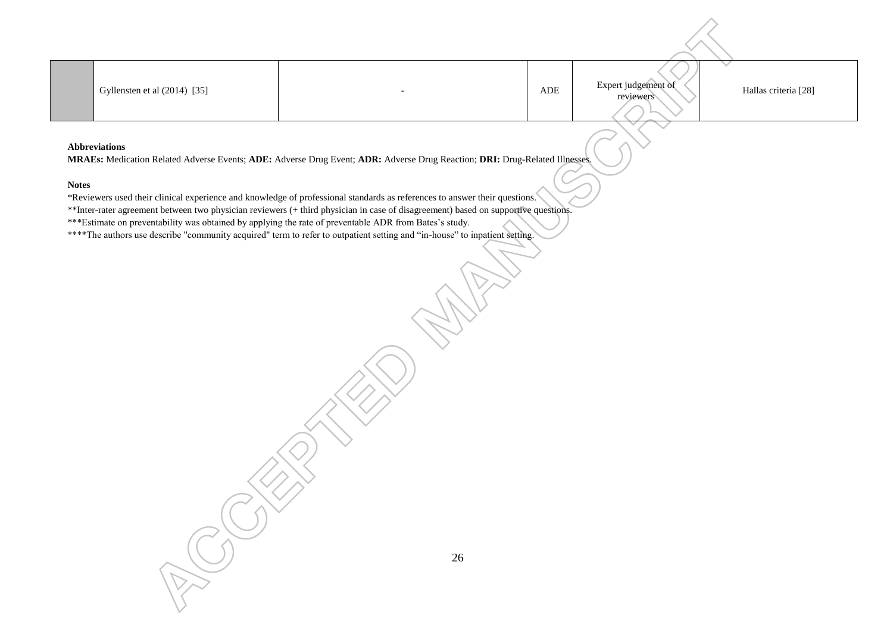| Gyllensten et al (2014) [35]                                                                                                                                                                                                                                                                                                                                                                                                                                                                                              |    | $\mathbf{ADE}$ | Expert judgement of<br>reviewers | Hallas criteria [28] |
|---------------------------------------------------------------------------------------------------------------------------------------------------------------------------------------------------------------------------------------------------------------------------------------------------------------------------------------------------------------------------------------------------------------------------------------------------------------------------------------------------------------------------|----|----------------|----------------------------------|----------------------|
| <b>Abbreviations</b><br>MRAEs: Medication Related Adverse Events; ADE: Adverse Drug Event; ADR: Adverse Drug Reaction; DRI: Drug-Related Illnesses.                                                                                                                                                                                                                                                                                                                                                                       |    |                |                                  |                      |
| <b>Notes</b><br>*Reviewers used their clinical experience and knowledge of professional standards as references to answer their questions.<br>** Inter-rater agreement between two physician reviewers (+ third physician in case of disagreement) based on supportive questions.<br>***Estimate on preventability was obtained by applying the rate of preventable ADR from Bates's study.<br>****The authors use describe "community acquired" term to refer to outpatient setting and "in-house" to inpatient setting. |    |                |                                  |                      |
|                                                                                                                                                                                                                                                                                                                                                                                                                                                                                                                           |    |                |                                  |                      |
|                                                                                                                                                                                                                                                                                                                                                                                                                                                                                                                           |    |                |                                  |                      |
|                                                                                                                                                                                                                                                                                                                                                                                                                                                                                                                           | 26 |                |                                  |                      |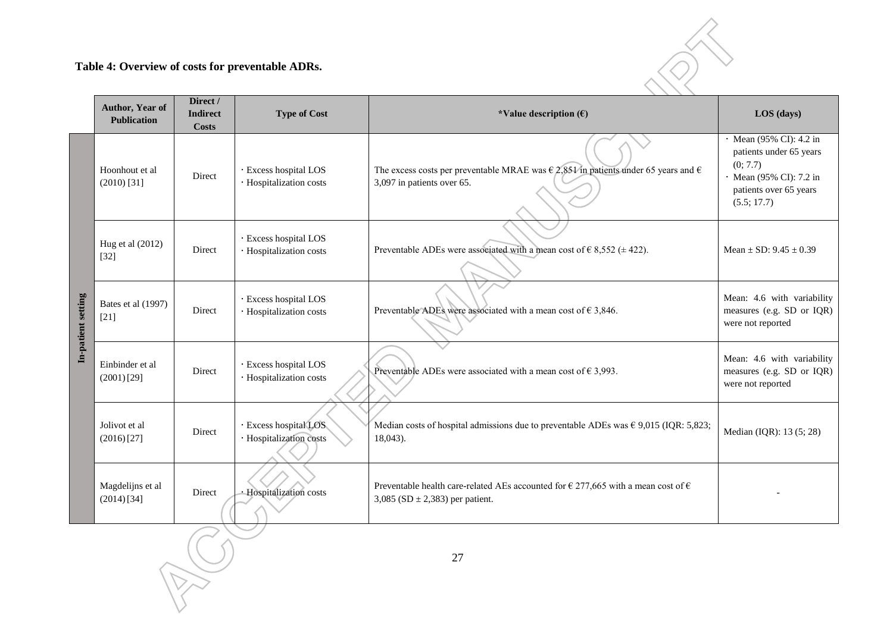**Table 4: Overview of costs for preventable ADRs.** 



|                    | Author, Year of<br><b>Publication</b> | Direct /<br><b>Indirect</b><br><b>Costs</b> | <b>Type of Cost</b>                              | *Value description $(\epsilon)$                                                                                                            | LOS (days)                                                                                                                         |
|--------------------|---------------------------------------|---------------------------------------------|--------------------------------------------------|--------------------------------------------------------------------------------------------------------------------------------------------|------------------------------------------------------------------------------------------------------------------------------------|
|                    | Hoonhout et al<br>$(2010)$ [31]       | Direct                                      | · Excess hospital LOS<br>· Hospitalization costs | The excess costs per preventable MRAE was $\epsilon$ 2,851 in patients under 65 years and $\epsilon$<br>3,097 in patients over 65.         | · Mean (95% CI): 4.2 in<br>patients under 65 years<br>(0; 7.7)<br>· Mean (95% CI): 7.2 in<br>patients over 65 years<br>(5.5; 17.7) |
| In-patient setting | Hug et al (2012)<br>$[32]$            | Direct                                      | · Excess hospital LOS<br>· Hospitalization costs | Preventable ADEs were associated with a mean cost of $\in$ 8,552 ( $\pm$ 422).                                                             | Mean $\pm$ SD: 9.45 $\pm$ 0.39                                                                                                     |
|                    | Bates et al (1997)<br>$[21]$          | Direct                                      | · Excess hospital LOS<br>· Hospitalization costs | Preventable ADEs were associated with a mean cost of $\epsilon$ 3,846.                                                                     | Mean: 4.6 with variability<br>measures (e.g. SD or IQR)<br>were not reported                                                       |
|                    | Einbinder et al<br>$(2001)$ [29]      | Direct                                      | · Excess hospital LOS<br>· Hospitalization costs | Preventable ADEs were associated with a mean cost of $\epsilon$ 3,993.                                                                     | Mean: 4.6 with variability<br>measures (e.g. SD or IQR)<br>were not reported                                                       |
|                    | Jolivot et al<br>$(2016)$ [27]        | Direct                                      | · Excess hospital LOS<br>· Hospitalization costs | Median costs of hospital admissions due to preventable ADEs was $\epsilon$ 9,015 (IQR: 5,823;<br>$18,043$ ).                               | Median (IQR): 13 (5; 28)                                                                                                           |
|                    | Magdelijns et al<br>$(2014)$ [34]     | Direct                                      | · Hospitalization costs                          | Preventable health care-related AEs accounted for $\epsilon$ 277,665 with a mean cost of $\epsilon$<br>3,085 (SD $\pm$ 2,383) per patient. |                                                                                                                                    |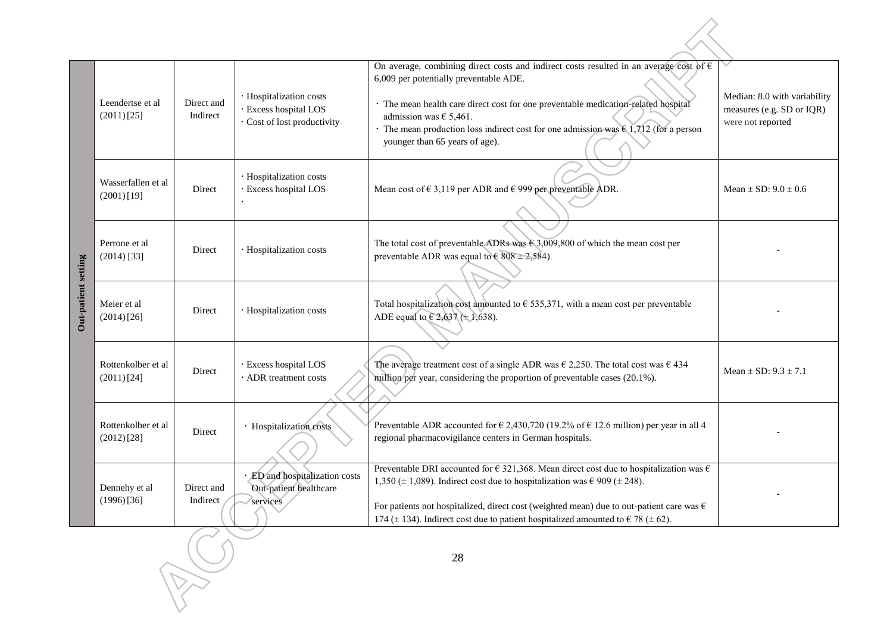|                     | Leendertse et al<br>$(2011)$ [25]   | Direct and<br>Indirect | · Hospitalization costs<br>· Excess hospital LOS<br>· Cost of lost productivity | On average, combining direct costs and indirect costs resulted in an average cost of $\epsilon$<br>6,009 per potentially preventable ADE.<br>· The mean health care direct cost for one preventable medication-related hospital<br>admission was $\epsilon$ 5,461.<br>$\cdot$ The mean production loss indirect cost for one admission was $\epsilon$ 1,712 (for a person<br>younger than 65 years of age).   | Median: 8.0 with variability<br>measures (e.g. SD or IQR)<br>were not reported |
|---------------------|-------------------------------------|------------------------|---------------------------------------------------------------------------------|---------------------------------------------------------------------------------------------------------------------------------------------------------------------------------------------------------------------------------------------------------------------------------------------------------------------------------------------------------------------------------------------------------------|--------------------------------------------------------------------------------|
| Out-patient setting | Wasserfallen et al<br>$(2001)$ [19] | Direct                 | · Hospitalization costs<br>· Excess hospital LOS                                | Mean cost of $\in$ 3,119 per ADR and $\in$ 999 per preventable ADR.                                                                                                                                                                                                                                                                                                                                           | Mean $\pm$ SD: $9.0 \pm 0.6$                                                   |
|                     | Perrone et al<br>$(2014)$ [33]      | Direct                 | · Hospitalization costs                                                         | The total cost of preventable ADRs was $\text{\large\ensuremath{\mathfrak{S}}}3,009,800$ of which the mean cost per<br>preventable ADR was equal to $\epsilon$ 808 ± 2,584).                                                                                                                                                                                                                                  |                                                                                |
|                     | Meier et al<br>$(2014)$ [26]        | Direct                 | · Hospitalization costs                                                         | Total hospitalization cost amounted to $\epsilon$ 535,371, with a mean cost per preventable<br>ADE equal to $\in$ 2,637 ( $\pm$ 1,638).                                                                                                                                                                                                                                                                       |                                                                                |
|                     | Rottenkolber et al<br>$(2011)$ [24] | Direct                 | · Excess hospital LOS<br>· ADR treatment costs                                  | The average treatment cost of a single ADR was $\epsilon$ 2,250. The total cost was $\epsilon$ 434<br>million per year, considering the proportion of preventable cases (20.1%).                                                                                                                                                                                                                              | Mean $\pm$ SD: $9.3 \pm 7.1$                                                   |
|                     | Rottenkolber et al<br>(2012) [28]   | Direct                 | · Hospitalization costs                                                         | Preventable ADR accounted for $\epsilon$ 2,430,720 (19.2% of $\epsilon$ 12.6 million) per year in all 4<br>regional pharmacovigilance centers in German hospitals.                                                                                                                                                                                                                                            |                                                                                |
|                     | Dennehy et al<br>$(1996)$ [36]      | Direct and<br>Indirect | · ED and hospitalization costs<br>Out-patient healthcare<br>services            | Preventable DRI accounted for $\epsilon$ 321,368. Mean direct cost due to hospitalization was $\epsilon$<br>1,350 ( $\pm$ 1,089). Indirect cost due to hospitalization was $\epsilon$ 909 ( $\pm$ 248).<br>For patients not hospitalized, direct cost (weighted mean) due to out-patient care was $\epsilon$<br>174 ( $\pm$ 134). Indirect cost due to patient hospitalized amounted to $\in$ 78 ( $\pm$ 62). |                                                                                |

R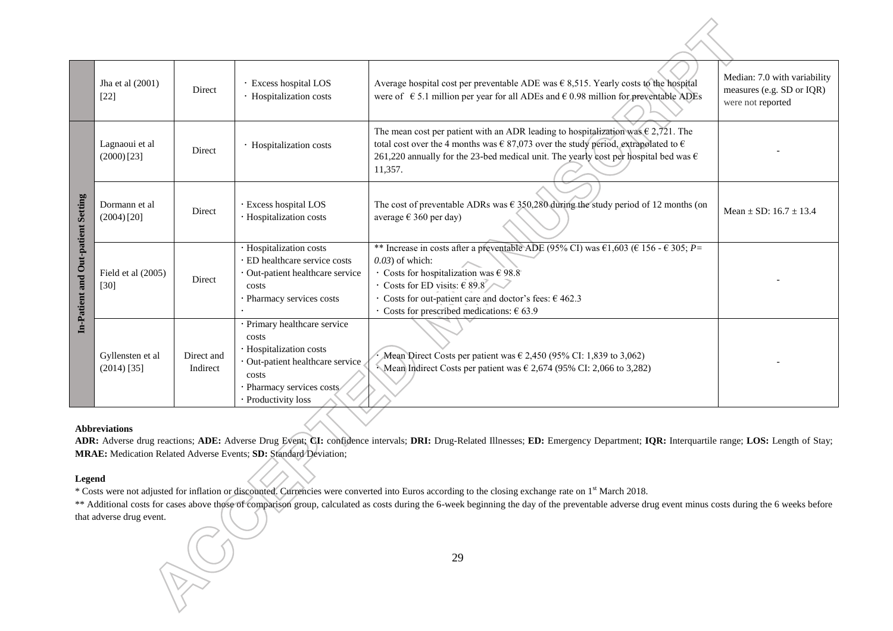|                                    | Jha et al $(2001)$<br>$[22]$      | Direct                 | · Excess hospital LOS<br>· Hospitalization costs                                                                                                                  | Average hospital cost per preventable ADE was $\epsilon$ 8,515. Yearly costs to the hospital<br>were of $\epsilon$ 5.1 million per year for all ADEs and $\epsilon$ 0.98 million for preventable ADEs                                                                                                                                                        | Median: 7.0 with variability<br>measures (e.g. SD or IQR)<br>were not reported |
|------------------------------------|-----------------------------------|------------------------|-------------------------------------------------------------------------------------------------------------------------------------------------------------------|--------------------------------------------------------------------------------------------------------------------------------------------------------------------------------------------------------------------------------------------------------------------------------------------------------------------------------------------------------------|--------------------------------------------------------------------------------|
|                                    | Lagnaoui et al<br>$(2000)$ [23]   | Direct                 | · Hospitalization costs                                                                                                                                           | The mean cost per patient with an ADR leading to hospitalization was $\epsilon$ 2,721. The<br>total cost over the 4 months was $\in$ 87,073 over the study period, extrapolated to $\epsilon$<br>261,220 annually for the 23-bed medical unit. The yearly cost per hospital bed was $\epsilon$<br>11,357.                                                    |                                                                                |
| In-Patient and Out-patient Setting | Dormann et al<br>$(2004)$ [20]    | Direct                 | · Excess hospital LOS<br>· Hospitalization costs                                                                                                                  | The cost of preventable ADRs was $\epsilon$ 350,280 during the study period of 12 months (on<br>average € 360 per day)                                                                                                                                                                                                                                       | Mean $\pm$ SD: 16.7 $\pm$ 13.4                                                 |
|                                    | Field et al (2005)<br>$[30]$      | Direct                 | · Hospitalization costs<br>· ED healthcare service costs<br>· Out-patient healthcare service<br>costs<br>· Pharmacy services costs                                | ** Increase in costs after a preventable ADE (95% CI) was $\epsilon$ 1,603 ( $\epsilon$ 156 - $\epsilon$ 305; P=<br>$(0.03)$ of which:<br>$\cdot$ Costs for hospitalization was $\in$ 98.8<br>Costs for ED visits: $\epsilon$ 89.8<br>Costs for out-patient care and doctor's fees: $\epsilon$ 462.3<br>$\cdot$ Costs for prescribed medications: $\in$ 63.9 |                                                                                |
|                                    | Gyllensten et al<br>$(2014)$ [35] | Direct and<br>Indirect | · Primary healthcare service<br>costs<br>· Hospitalization costs<br>· Out-patient healthcare service<br>costs<br>· Pharmacy services costs<br>· Productivity loss | Mean Direct Costs per patient was $\in 2,450$ (95% CI: 1,839 to 3,062)<br>Mean Indirect Costs per patient was $\epsilon$ 2,674 (95% CI: 2,066 to 3,282)                                                                                                                                                                                                      |                                                                                |

#### **Abbreviations**

ADR: Adverse drug reactions; ADE: Adverse Drug Event; CI: confidence intervals; DRI: Drug-Related Illnesses; ED: Emergency Department; IQR: Interquartile range; LOS: Length of Stay; **MRAE:** Medication Related Adverse Events; **SD:** Standard Deviation;

#### **Legend**

\* Costs were not adjusted for inflation or discounted. Currencies were converted into Euros according to the closing exchange rate on 1st March 2018.

 $\checkmark$ 

\*\* Additional costs for cases above those of comparison group, calculated as costs during the 6-week beginning the day of the preventable adverse drug event minus costs during the 6 weeks before that adverse drug event.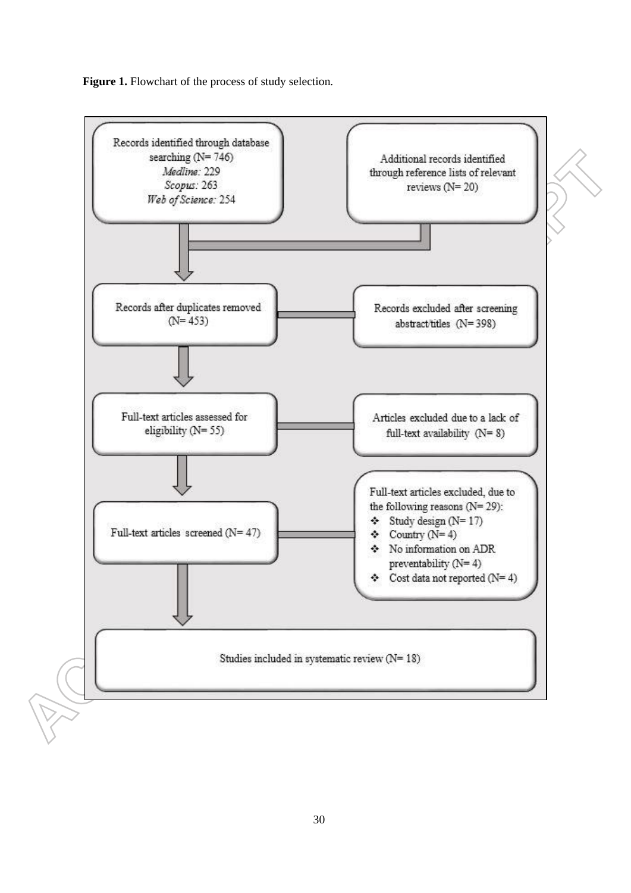Figure 1. Flowchart of the process of study selection.